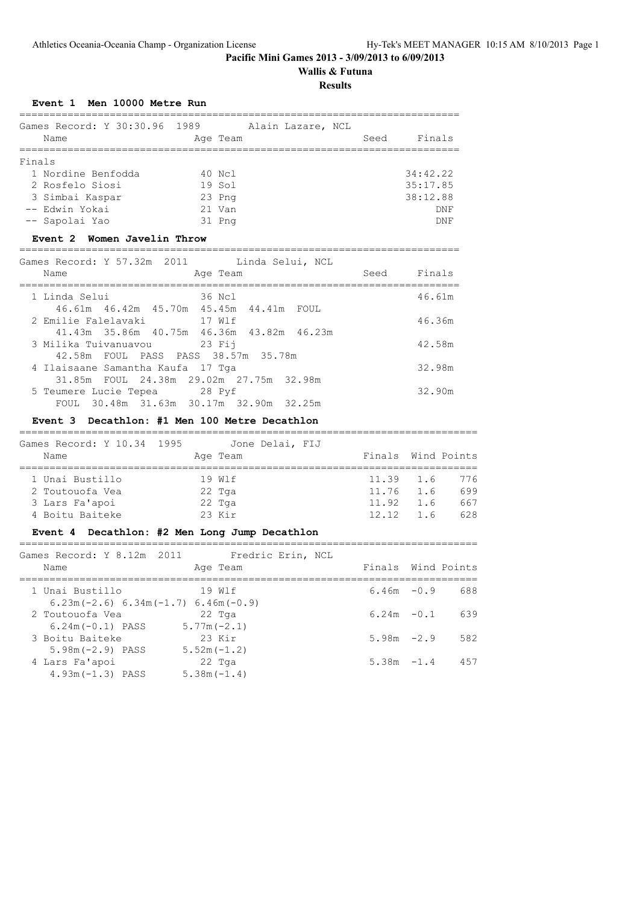# **Wallis & Futuna**

## **Results**

## **Event 1 Men 10000 Metre Run**

| Games Record: Y 30:30.96 1989 | Alain Lazare, NCL |                |
|-------------------------------|-------------------|----------------|
| Name                          | Age Team          | Finals<br>Seed |
|                               |                   |                |
| Finals                        |                   |                |
| 1 Nordine Benfodda            | 40 Ncl            | 34:42.22       |
| 2 Rosfelo Siosi               | 19 Sol            | 35:17.85       |
| 3 Simbai Kaspar               | 23 Png            | 38:12.88       |
| -- Edwin Yokai                | 21 Van            | DNF            |
| -- Sapolai Yao                | 31 Png            | DNF            |

## **Event 2 Women Javelin Throw**

========================================================================= Games Record: Y 57.32m 2011 Linda Selui, NCL

| UUMUUD INGGOIDI. I OTIJOHII ZUII                                             | ALIQU DULULI NUL                          |             |        |
|------------------------------------------------------------------------------|-------------------------------------------|-------------|--------|
| Name                                                                         | Age Team                                  | Seed Finals |        |
| 1 Linda Selui                                                                | 36 Ncl                                    |             | 46.61m |
| 46.61m 46.42m 45.70m 45.45m 44.41m FOUL                                      |                                           |             |        |
| 2 Emilie Falelavaki 17 Wlf                                                   |                                           |             | 46.36m |
|                                                                              | 41.43m 35.86m 40.75m 46.36m 43.82m 46.23m |             |        |
| 3 Milika Tuivanuavou           23 Fij                                        |                                           |             | 42.58m |
| 42.58m FOUL PASS PASS 38.57m 35.78m                                          |                                           |             |        |
| 4 Ilaisaane Samantha Kaufa 17 Tga<br>31.85m FOUL 24.38m 29.02m 27.75m 32.98m |                                           |             | 32.98m |
| 5 Teumere Lucie Tepea 28 Pyf                                                 |                                           |             | 32.90m |
| FOUL 30.48m 31.63m 30.17m 32.90m 32.25m                                      |                                           |             |        |
|                                                                              |                                           |             |        |

## **Event 3 Decathlon: #1 Men 100 Metre Decathlon**

| Games Record: Y 10.34 1995 | Jone Delai, FIJ |       |                    |     |
|----------------------------|-----------------|-------|--------------------|-----|
| Name                       | Age Team        |       | Finals Wind Points |     |
|                            |                 |       |                    |     |
| 1 Unai Bustillo            | 19 Wlf          |       | $11.39$ 1.6        | 776 |
| 2 Toutouofa Vea            | 22 Tga          |       | $11.76$ 1.6        | 699 |
| 3 Lars Fa'apoi             | 22 Tga          | 11.92 | 1.6                | 667 |
| 4 Boitu Baiteke            | $23$ Kir        |       | $12.12 \quad 1.6$  | 628 |

## **Event 4 Decathlon: #2 Men Long Jump Decathlon**

| Games Record: Y 8.12m 2011            |  |               | Fredric Erin, NCL |                    |     |
|---------------------------------------|--|---------------|-------------------|--------------------|-----|
| Name                                  |  | Age Team      |                   | Finals Wind Points |     |
| 1 Unai Bustillo                       |  | 19 Wlf        |                   | $6.46m - 0.9$      | 688 |
| $6.23m(-2.6) 6.34m(-1.7) 6.46m(-0.9)$ |  |               |                   |                    |     |
| 2 Toutouofa Vea                       |  | 22 Tga        |                   | $6.24m - 0.1$      | 639 |
| $6.24m(-0.1)$ PASS                    |  | $5.77m(-2.1)$ |                   |                    |     |
| 3 Boitu Baiteke                       |  | 23 Kir        |                   | $5.98m -2.9$       | 582 |
| $5.98m(-2.9)$ PASS                    |  | $5.52m(-1.2)$ |                   |                    |     |
| 4 Lars Fa'apoi                        |  | $22$ Tga      |                   | $5.38m - 1.4$      | 457 |
| $4.93m(-1.3)$ PASS                    |  | $5.38m(-1.4)$ |                   |                    |     |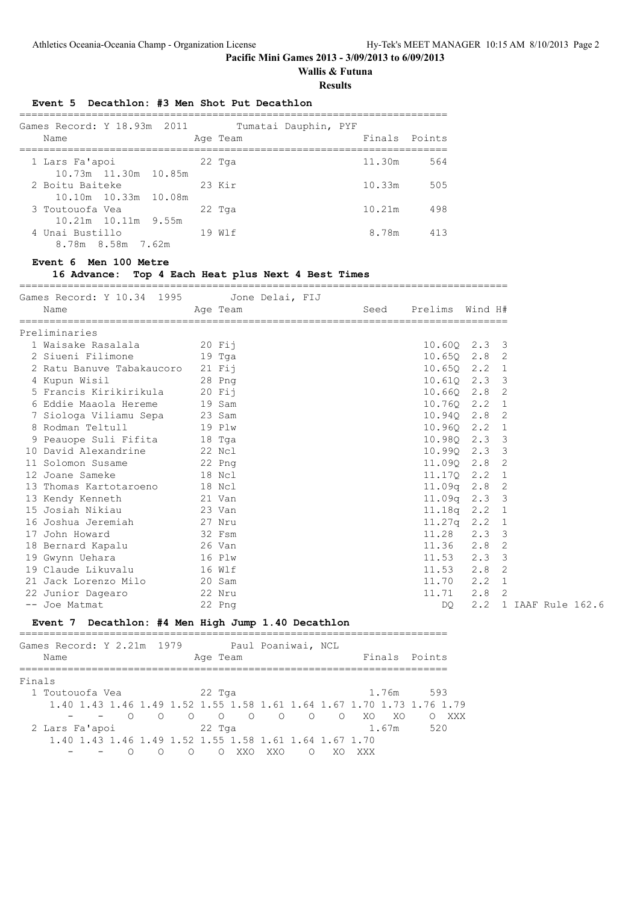# **Wallis & Futuna**

**Results**

#### **Event 5 Decathlon: #3 Men Shot Put Decathlon**

| Games Record: Y 18.93m 2011<br>Name |                           |  | Age Team | Tumatai Dauphin, PYF | Finals Points |     |
|-------------------------------------|---------------------------|--|----------|----------------------|---------------|-----|
| 1 Lars Fa'apoi                      |                           |  | $22$ Tga |                      | 11.30m        | 564 |
|                                     | 10.73m 11.30m 10.85m      |  |          |                      |               |     |
| 2 Boitu Baiteke                     |                           |  | 23 Kir   |                      | 10.33m        | 505 |
|                                     | 10.10m 10.33m 10.08m      |  |          |                      |               |     |
| 3 Toutouofa Vea                     |                           |  | $22$ Tga |                      | 10.21m        | 498 |
|                                     | $10.21m$ $10.11m$ $9.55m$ |  |          |                      |               |     |
| 4 Unai Bustillo                     |                           |  | 19 W T   |                      | 8.78m         | 413 |
|                                     | 8.78m 8.58m 7.62m         |  |          |                      |               |     |

#### **Event 6 Men 100 Metre**

## **16 Advance: Top 4 Each Heat plus Next 4 Best Times**

=================================================================================

| Games Record: Y 10.34 1995 Jone Delai, FIJ               |          |                      |               |                       |
|----------------------------------------------------------|----------|----------------------|---------------|-----------------------|
| Name                                                     | Age Team | Seed Prelims Wind H# |               |                       |
| Preliminaries                                            |          |                      |               |                       |
| 1 Waisake Rasalala (20 Fij                               |          | $10.60Q$ $2.3$ 3     |               |                       |
| 2 Siueni Filimone 19 Tga                                 |          | $10.650$ $2.8$ 2     |               |                       |
| 2 Ratu Banuve Tabakaucoro 21 Fij                         |          | 10.650 2.2 1         |               |                       |
| 28 Png<br>4 Kupun Wisil                                  |          | 10.61Q 2.3 3         |               |                       |
| 5 Francis Kirikirikula 20 Fij                            |          | $10.66Q$ $2.8$ 2     |               |                       |
| 6 Eddie Maaola Hereme 19 Sam                             |          | 10.760 2.2 1         |               |                       |
|                                                          |          | 10.940 2.8 2         |               |                       |
| 7 Siologa Viliamu Sepa 23 Sam<br>8 Rodman Teltull 19 Plw |          | 10.960 2.2 1         |               |                       |
| 9 Peauope Suli Fifita 18 Tga                             |          | 10.980 2.3 3         |               |                       |
| 10 David Alexandrine 22 Ncl                              |          | 10.990 2.3 3         |               |                       |
| 11 Solomon Susame 22 Png<br>12 Joane Sameke 18 Ncl       |          | 11.090 2.8 2         |               |                       |
|                                                          |          | 11.170 2.2 1         |               |                       |
| 13 Thomas Kartotaroeno 18 Ncl                            |          | $11.09q$ 2.8 2       |               |                       |
| 13 Kendy Kenneth 21 Van                                  |          | $11.09q$ 2.3 3       |               |                       |
| 15 Josiah Nikiau 15 23 Van                               |          | 11.18q 2.2 1         |               |                       |
| 16 Joshua Jeremiah 27 Nru                                |          | 11.27q 2.2 1         |               |                       |
| 17 John Howard 32 Fsm                                    |          | $11.28$ 2.3 3        |               |                       |
| 18 Bernard Kapalu 18 26 Van                              |          | 11.36 2.8 2          |               |                       |
| 19 Gwynn Uehara 16 Plw                                   |          | 11.53                | $2.3 \quad 3$ |                       |
| 19 Claude Likuvalu 16 Wlf                                |          | $11.53$ $2.8$ 2      |               |                       |
| 21 Jack Lorenzo Milo 20 Sam                              |          | 11.70                | $2.2 \quad 1$ |                       |
| 22 Junior Dagearo 22 Nru                                 |          | 11.71                | $2.8$ 2       |                       |
| -- Joe Matmat                                            | 22 Png   | DO                   |               | 2.2 1 IAAF Rule 162.6 |

#### **Event 7 Decathlon: #4 Men High Jump 1.40 Decathlon**

|        | Games Record: Y 2.21m 1979 |            |                                                        |          |     | Paul Poaniwai, NCL |         |    |      |       | Finals Points                                                         |     |
|--------|----------------------------|------------|--------------------------------------------------------|----------|-----|--------------------|---------|----|------|-------|-----------------------------------------------------------------------|-----|
|        | Name                       |            |                                                        | Age Team |     |                    |         |    |      |       |                                                                       |     |
| Finals |                            |            |                                                        |          |     |                    |         |    |      |       |                                                                       |     |
|        | 1 Toutouofa Vea            |            |                                                        | $22$ Tga |     |                    |         |    |      | 1.76m | 593                                                                   |     |
|        |                            |            |                                                        |          |     |                    |         |    |      |       | 1.40 1.43 1.46 1.49 1.52 1.55 1.58 1.61 1.64 1.67 1.70 1.73 1.76 1.79 |     |
|        |                            | $\bigcirc$ | $\circ$ $\circ$ $\circ$ $\circ$                        |          |     | $\circ$            | $\circ$ |    | O XO | - XO  |                                                                       | XXX |
|        | 2 Lars Fa'apoi             |            |                                                        | 22 Tga   |     |                    |         |    |      | 1.67m | 520                                                                   |     |
|        |                            |            | 1.40 1.43 1.46 1.49 1.52 1.55 1.58 1.61 1.64 1.67 1.70 |          |     |                    |         |    |      |       |                                                                       |     |
|        |                            |            |                                                        |          | XXO | XXO                |         | XO | XXX  |       |                                                                       |     |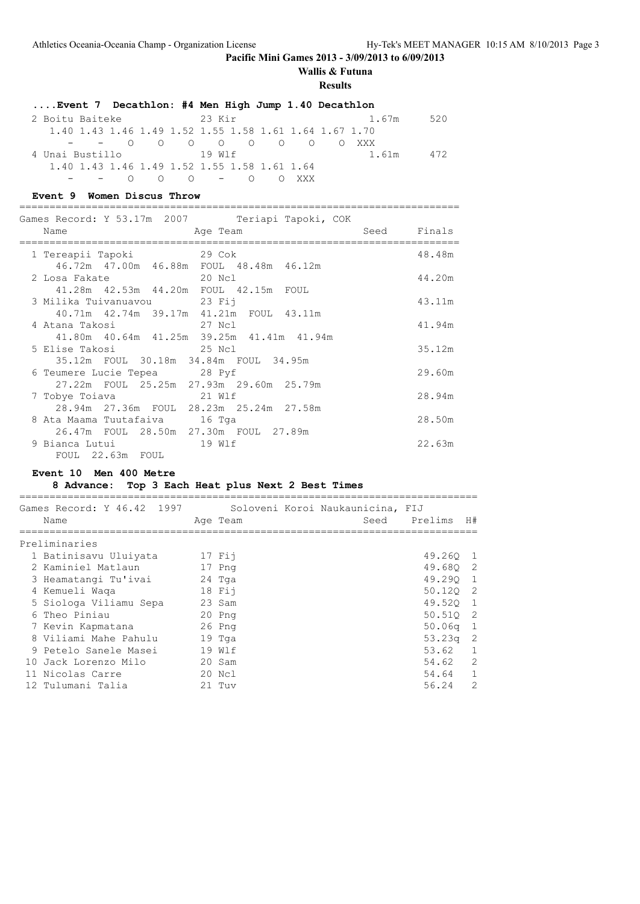# **Wallis & Futuna**

**Results**

| Event 7 Decathlon: #4 Men High Jump 1.40 Decathlon |                                                        |              |
|----------------------------------------------------|--------------------------------------------------------|--------------|
| 2 Boitu Baiteke                                    | 23 Kir                                                 | 1.67m<br>520 |
|                                                    | 1.40 1.43 1.46 1.49 1.52 1.55 1.58 1.61 1.64 1.67 1.70 |              |
|                                                    | $ -$ 0 0 0 0 0 0 0 0 xxx                               |              |
| 4 Unai Bustillo 19 Wlf                             |                                                        | 1.61m<br>472 |
| 1.40 1.43 1.46 1.49 1.52 1.55 1.58 1.61 1.64       |                                                        |              |
| - - 0 0 0 - 0 0 XXX                                |                                                        |              |

#### **Event 9 Women Discus Throw**

=========================================================================

|                                            | Games Record: Y 53.17m 2007       Teriapi Tapoki, COK |             |        |
|--------------------------------------------|-------------------------------------------------------|-------------|--------|
| Name<br>====================               | Aqe Team                                              | Seed Finals |        |
|                                            |                                                       |             | 48.48m |
|                                            | 46.72m 47.00m 46.88m FOUL 48.48m 46.12m               |             |        |
| 2 Losa Fakate<br>20 Nol                    |                                                       |             | 44.20m |
| 41.28m  42.53m  44.20m  FOUL  42.15m  FOUL |                                                       |             |        |
| 3 Milika Tuivanuavou 23 Fij                |                                                       |             | 43.11m |
|                                            | 40.71m  42.74m  39.17m  41.21m  FOUL  43.11m          |             |        |
|                                            |                                                       |             | 41.94m |
|                                            | 41.80m 40.64m 41.25m 39.25m 41.41m 41.94m             |             |        |
|                                            |                                                       |             | 35.12m |
| 35.12m FOUL 30.18m 34.84m FOUL 34.95m      |                                                       |             |        |
| 6 Teumere Lucie Tepea 28 Pyf               |                                                       |             | 29.60m |
|                                            | 27.22m FOUL 25.25m 27.93m 29.60m 25.79m               |             |        |
| 21 Wlf<br>7 Tobye Toiava                   |                                                       |             | 28.94m |
|                                            | 28.94m 27.36m FOUL 28.23m 25.24m 27.58m               |             |        |
| 8 Ata Maama Tuutafaiva 16 Tga              |                                                       |             | 28.50m |
| 26.47m FOUL 28.50m 27.30m FOUL 27.89m      |                                                       |             |        |
|                                            |                                                       |             | 22.63m |
| FOUL 22.63m FOUL                           |                                                       |             |        |

## **Event 10 Men 400 Metre**

## **8 Advance: Top 3 Each Heat plus Next 2 Best Times**

| Games Record: Y 46.42 1997<br>Name | Age Team | Soloveni Koroi Naukaunicina, FIJ<br>Seed | Prelims  | H#             |
|------------------------------------|----------|------------------------------------------|----------|----------------|
| Preliminaries                      |          |                                          |          |                |
| 1 Batinisavu Uluiyata              | 17 Fii   |                                          | 49.260 1 |                |
| 2 Kaminiel Matlaun                 | 17 Png   |                                          | 49.680   | $\overline{2}$ |
| 3 Heamatangi Tu'ivai               | 24 Tga   |                                          | 49.290   | 1              |
| 4 Kemueli Waqa                     | $18$ Fij |                                          | 50.120 2 |                |
| 5 Siologa Viliamu Sepa             | 23 Sam   |                                          | 49.520 1 |                |
| 6 Theo Piniau                      | $20$ Pnq |                                          | 50.510   | -2             |
| 7 Kevin Kapmatana                  | $26$ Png |                                          | 50.06q   | 1              |
| 8 Viliami Mahe Pahulu              | 19 Tga   |                                          | 53.23a   | 2              |
| 9 Petelo Sanele Masei              | 19 Wlf   |                                          | 53.62    | $\overline{1}$ |
| 10 Jack Lorenzo Milo               | 20 Sam   |                                          | 54.62    | 2              |
| 11 Nicolas Carre                   | 20 Ncl   |                                          | 54.64    | 1              |
| 12 Tulumani Talia                  | $21$ Tuv |                                          | 56.24    | $\mathcal{L}$  |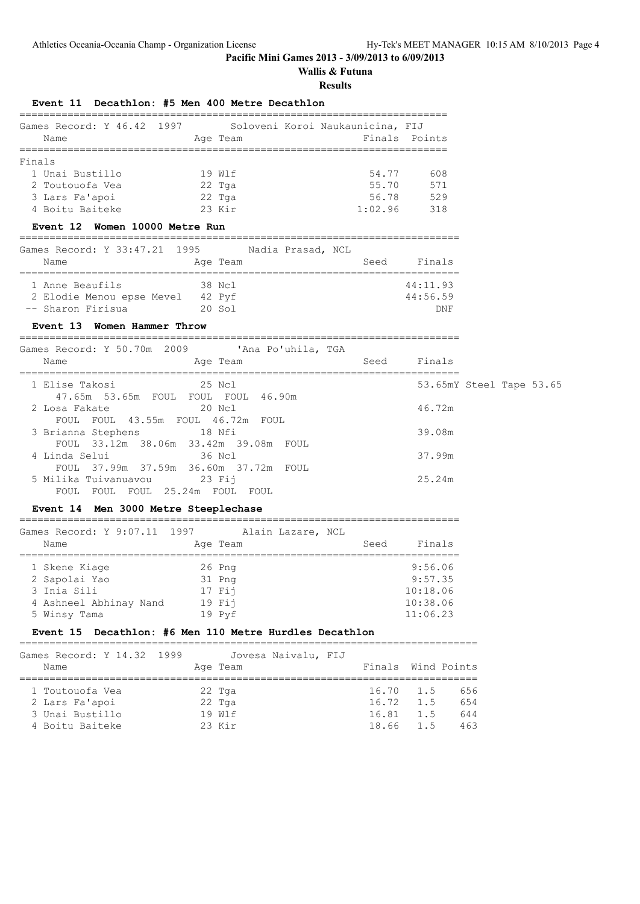# **Wallis & Futuna**

**Results**

## **Event 11 Decathlon: #5 Men 400 Metre Decathlon**

| Games Record: Y 46.42 1997 |          | Soloveni Koroi Naukaunicina, FIJ |               |
|----------------------------|----------|----------------------------------|---------------|
| Name                       | Age Team |                                  | Finals Points |
|                            |          |                                  |               |
| Finals                     |          |                                  |               |
| 1 Unai Bustillo            | 19 Wlf   | 54.77                            | 608           |
| 2 Toutouofa Vea            | 22 Tga   | 55.70                            | 571           |
| 3 Lars Fa'apoi             | $22$ Tga | 56.78                            | 529           |
| 4 Boitu Baiteke            | $23$ Kir | 1:02.96                          | 318           |

#### **Event 12 Women 10000 Metre Run**

#### =========================================================================

| Games Record: Y 33:47.21 1995 |          | Nadia Prasad, NCL |      |          |
|-------------------------------|----------|-------------------|------|----------|
| Name                          | Age Team |                   | Seed | Finals   |
|                               |          |                   |      |          |
| 1 Anne Beaufils               | 38 Ncl   |                   |      | 44:11.93 |
| 2 Elodie Menou epse Mevel     | 42 Pyf   |                   |      | 44:56.59 |
| -- Sharon Firisua             | $20$ Sol |                   |      | DNF      |
|                               |          |                   |      |          |

## **Event 13 Women Hammer Throw**

=========================================================================

| Games Record: Y 50.70m 2009 . IAna Po'uhila, TGA<br>Age Team<br>Name | Finals<br>Seed           |
|----------------------------------------------------------------------|--------------------------|
|                                                                      |                          |
| 1 Elise Takosi<br>25 Ncl<br>47.65m 53.65m FOUL FOUL FOUL 46.90m      | 53.65mY Steel Tape 53.65 |
| 20 Ncl<br>2 Losa Fakate<br>FOUL FOUL 43.55m FOUL 46.72m FOUL         | 46.72m                   |
| 3 Brianna Stephens 18 Nfi<br>FOUL 33.12m 38.06m 33.42m 39.08m FOUL   | 39.08m                   |
| 36 Ncl<br>4 Linda Selui<br>FOUL 37.99m 37.59m 36.60m 37.72m FOUL     | 37.99m                   |
| 5 Milika Tuivanuavou 23 Fij<br>FOUL FOUL FOUL 25.24m FOUL<br>FOUL    | 25.24m                   |

## **Event 14 Men 3000 Metre Steeplechase**

=========================================================================  $S$  Record: Y 9:07.11 1997 Alain Laz

| Games Record: 1 9:07.11 1997 | Alain Lazare, NCL |      |          |
|------------------------------|-------------------|------|----------|
| Name                         | Age Team          | Seed | Finals   |
|                              |                   |      |          |
| 1 Skene Kiage                | 26 Png            |      | 9:56.06  |
| 2 Sapolai Yao                | 31 Png            |      | 9:57.35  |
| 3 Inia Sili                  | 17 Fii            |      | 10:18.06 |
| 4 Ashneel Abhinay Nand       | $19$ Fij          |      | 10:38.06 |
| 5 Winsy Tama                 | 19 Pyf            |      | 11:06.23 |
|                              |                   |      |          |

#### **Event 15 Decathlon: #6 Men 110 Metre Hurdles Decathlon**

| Games Record: Y 14.32 1999 | Jovesa Naivalu, FIJ |                    |     |     |
|----------------------------|---------------------|--------------------|-----|-----|
| Name                       | Age Team            | Finals Wind Points |     |     |
| 1 Toutouofa Vea            | $22$ Tga            | 16.70 1.5          |     | 656 |
| 2 Lars Fa'apoi             | $22$ Tga            | $16.72 \quad 1.5$  |     | 654 |
| 3 Unai Bustillo            | 19 W 1 f            | 16.81              | 1.5 | 644 |
| 4 Boitu Baiteke            | $23$ Kir            | 18.66 1.5          |     | 463 |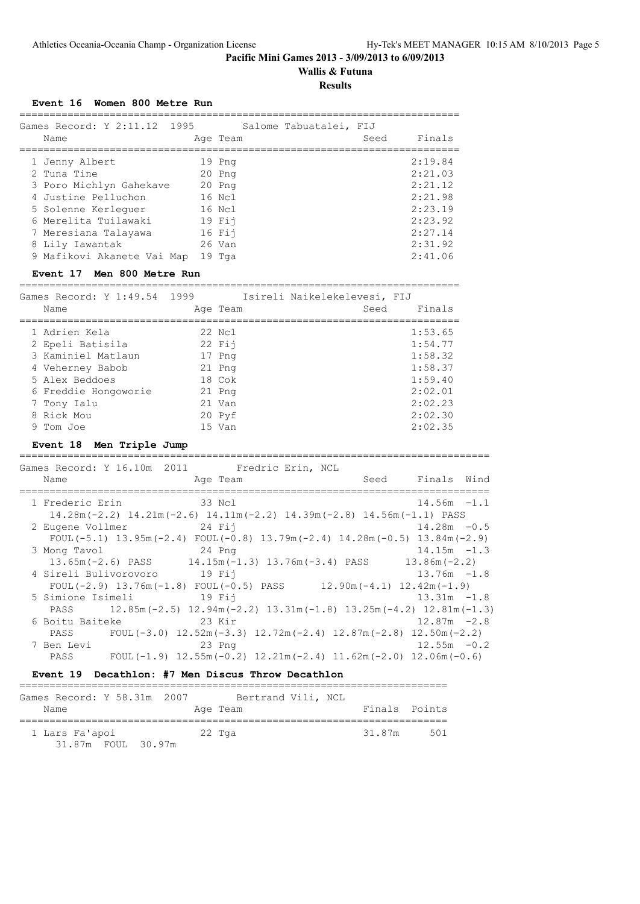# **Wallis & Futuna**

## **Results**

**Event 16 Women 800 Metre Run**

| Games Record: Y 2:11.12 1995<br>Name | Age Team | Salome Tabuatalei, FIJ | Seed | Finals  |
|--------------------------------------|----------|------------------------|------|---------|
| 1 Jenny Albert                       | 19 Png   |                        |      | 2:19.84 |
| 2 Tuna Tine                          | 20 Png   |                        |      | 2:21.03 |
| 3 Poro Michlyn Gahekave              | $20$ Pnq |                        |      | 2:21.12 |
| 4 Justine Pelluchon                  | $16$ Nel |                        |      | 2:21.98 |
| 5 Solenne Kerlequer                  | 16 Ncl   |                        |      | 2:23.19 |
| 6 Merelita Tuilawaki                 | $19$ Fij |                        |      | 2:23.92 |
| 7 Meresiana Talayawa                 | 16 Fii   |                        |      | 2:27.14 |
| 8 Lily Iawantak                      | 26 Van   |                        |      | 2:31.92 |
| 9 Mafikovi Akanete Vai Map           | 19 Tga   |                        |      | 2:41.06 |

## **Event 17 Men 800 Metre Run**

=========================================================================

| Games Record: Y 1:49.54 1999<br>Name | Age Team | Isireli Naikelekelevesi, FIJ<br>Seed | Finals  |
|--------------------------------------|----------|--------------------------------------|---------|
|                                      |          |                                      |         |
| 1 Adrien Kela                        | 22 Ncl   |                                      | 1:53.65 |
| 2 Epeli Batisila                     | $22$ Fii |                                      | 1:54.77 |
| 3 Kaminiel Matlaun                   | 17 Png   |                                      | 1:58.32 |
| 4 Veherney Babob                     | 21 Png   |                                      | 1:58.37 |
| 5 Alex Beddoes                       | $18$ Cok |                                      | 1:59.40 |
| 6 Freddie Hongoworie                 | 21 Png   |                                      | 2:02.01 |
| 7 Tony Ialu                          | 21 Van   |                                      | 2:02.23 |
| 8 Rick Mou                           | 20 Pyf   |                                      | 2:02.30 |
| 9 Tom Joe                            | 15 Van   |                                      | 2:02.35 |

## **Event 18 Men Triple Jump**

============================================================================== Games Record: Y 16.10m 2011 Fredric Erin, NCL

| Name                         | Age Team                                                                                    | Seed | Finals Wind    |  |
|------------------------------|---------------------------------------------------------------------------------------------|------|----------------|--|
| 1 Frederic Erin 33 Ncl       |                                                                                             |      | $14.56m - 1.1$ |  |
|                              | $14.28$ m (-2.2) $14.21$ m (-2.6) $14.11$ m (-2.2) $14.39$ m (-2.8) $14.56$ m (-1.1) PASS   |      |                |  |
| 2 Eugene Vollmer             | $24$ Fij                                                                                    |      | $14.28m - 0.5$ |  |
|                              | FOUL $(-5.1)$ 13.95m $(-2.4)$ FOUL $(-0.8)$ 13.79m $(-2.4)$ 14.28m $(-0.5)$ 13.84m $(-2.9)$ |      |                |  |
| 3 Mong Tavol                 | 24 Png                                                                                      |      | $14.15m - 1.3$ |  |
|                              | $13.65$ m (-2.6) PASS $14.15$ m (-1.3) $13.76$ m (-3.4) PASS $13.86$ m (-2.2)               |      |                |  |
| 4 Sireli Bulivorovoro 19 Fij |                                                                                             |      | $13.76m - 1.8$ |  |
|                              | FOUL $(-2.9)$ 13.76m $(-1.8)$ FOUL $(-0.5)$ PASS 12.90m $(-4.1)$ 12.42m $(-1.9)$            |      |                |  |
| 5 Simione Isimeli 19 Fij     |                                                                                             |      | $13.31m - 1.8$ |  |
| PASS                         | $12.85m(-2.5)$ $12.94m(-2.2)$ $13.31m(-1.8)$ $13.25m(-4.2)$ $12.81m(-1.3)$                  |      |                |  |
| 6 Boitu Baiteke              | 23 Kir                                                                                      |      | $12.87m - 2.8$ |  |
|                              | PASS FOUL $(-3.0)$ 12.52m $(-3.3)$ 12.72m $(-2.4)$ 12.87m $(-2.8)$ 12.50m $(-2.2)$          |      |                |  |
| 7 Ben Levi                   | 23 Png                                                                                      |      | $12.55m - 0.2$ |  |
| PASS                         | FOUL $(-1.9)$ 12.55m $(-0.2)$ 12.21m $(-2.4)$ 11.62m $(-2.0)$ 12.06m $(-0.6)$               |      |                |  |

#### **Event 19 Decathlon: #7 Men Discus Throw Decathlon**

| Games Record: Y 58.31m 2007          | Bertrand Vili, NCL |               |     |
|--------------------------------------|--------------------|---------------|-----|
| Name                                 | Age Team           | Finals Points |     |
| 1 Lars Fa'apoi<br>31.87m FOUL 30.97m | 22 Tga             | 31.87m        | 501 |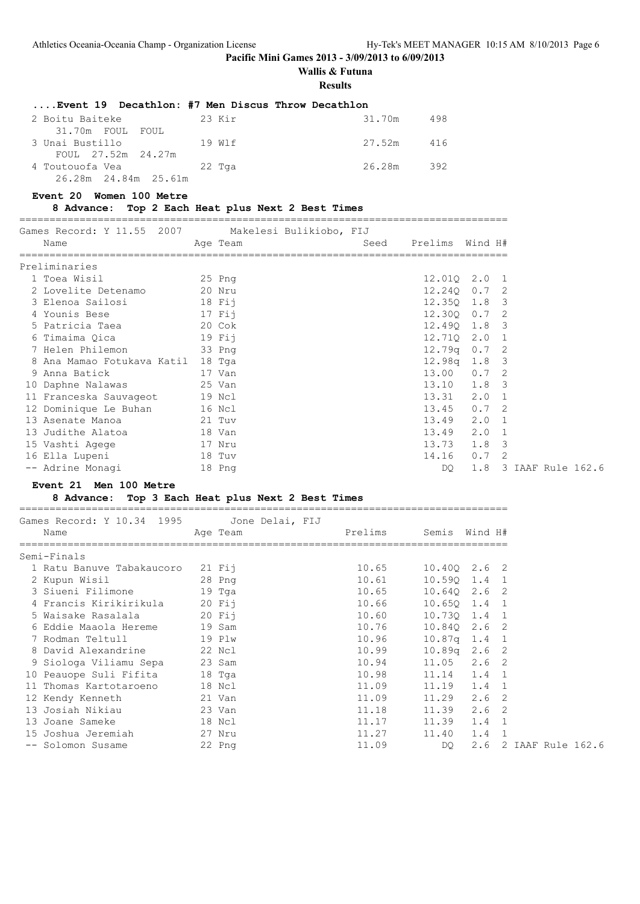=================================================================================

## **Pacific Mini Games 2013 - 3/09/2013 to 6/09/2013**

## **Wallis & Futuna**

**Results**

| Event 19 Decathlon: #7 Men Discus Throw Decathlon |        |            |     |
|---------------------------------------------------|--------|------------|-----|
| 2 Boitu Baiteke                                   | 23 Kir | 31.70m     | 498 |
| 31.70m FOUL FOUL                                  |        |            |     |
| 3 Unai Bustillo                                   | 19 Wlf | 27.52m 416 |     |
| FOUL 27.52m 24.27m                                |        |            |     |
| 4 Toutouofa Vea                                   | 22 Tga | 26.28m 392 |     |
| 26.28m 24.84m 25.61m                              |        |            |     |

=================================================================================

#### **Event 20 Women 100 Metre**

#### **8 Advance: Top 2 Each Heat plus Next 2 Best Times**

Games Record: Y 11.55 2007 Makelesi Bulikiobo, FIJ Name Age Team Seed Prelims Wind H# ================================================================================= Preliminaries 1 Toea Wisil 25 Png 12.01Q 2.0 1 2 Lovelite Detenamo 20 Nru 12.24Q 0.7 2 3 Elenoa Sailosi 18 Fij 12.35Q 1.8 3 4 Younis Bese 17 Fij 12.30Q 0.7 2 5 Patricia Taea 20 Cok 12.49Q 1.8 3 6 Timaima Qica 19 Fij 12.71Q 2.0 1 7 Helen Philemon 33 Png 12.79q 0.7 2 8 Ana Mamao Fotukava Katil 18 Tga 12.98q 1.8 3 9 Anna Batick 17 Van 13.00 0.7 2 10 Daphne Nalawas 25 Van 13.10 1.8 3 11 Franceska Sauvageot 19 Ncl 13.31 2.0 1 12 Dominique Le Buhan 16 Ncl 13.45 0.7 2 13 Asenate Manoa 21 Tuv 13.49 2.0 1 13 Judithe Alatoa 18 Van 13.49 2.0 1 15 Vashti Agege 17 Nru 13.73 1.8 3 16 Ella Lupeni 18 Tuv 14.16 0.7 2 -- Adrine Monagi 18 Png DQ 1.8 3 IAAF Rule 162.6

#### **Event 21 Men 100 Metre**

## **8 Advance: Top 3 Each Heat plus Next 2 Best Times**

| Games Record: Y 10.34 1995 Jone Delai, FIJ |                                                                                                                 |                          |       |                       |  |
|--------------------------------------------|-----------------------------------------------------------------------------------------------------------------|--------------------------|-------|-----------------------|--|
| Name                                       | Age Team and the state of the state of the state of the state of the state of the state of the state of the sta | Prelims Semis Wind H#    |       |                       |  |
| Semi-Finals                                |                                                                                                                 |                          |       |                       |  |
| 1 Ratu Banuve Tabakaucoro 21 Fij           |                                                                                                                 | 10.65 10.400 2.6 2       |       |                       |  |
| 2 Kupun Wisil 28 Png                       |                                                                                                                 | 10.61                    |       | $10.590$ 1.4 1        |  |
| 3 Siueni Filimone 19 Tga                   |                                                                                                                 | $10.65$ $10.64Q$ $2.6$ 2 |       |                       |  |
| 4 Francis Kirikirikula 20 Fij              |                                                                                                                 | 10.66                    |       | $10.65Q$ $1.4$ 1      |  |
|                                            |                                                                                                                 | 10.60                    |       | 10.730 1.4 1          |  |
| 6 Eddie Maaola Hereme 19 Sam               |                                                                                                                 | 10.76                    |       | 10.840 2.6 2          |  |
| 7 Rodman Teltull 19 Plw                    |                                                                                                                 | 10.96                    |       | $10.87q$ 1.4 1        |  |
| 8 David Alexandrine 22 Ncl                 |                                                                                                                 | 10.99                    |       | $10.89q$ 2.6 2        |  |
| 9 Siologa Viliamu Sepa 23 Sam              |                                                                                                                 | 10.94                    |       | $11.05$ 2.6 2         |  |
| 10 Peauope Suli Fifita 18 Tga              |                                                                                                                 | 10.98                    |       | $11.14$ 1.4 1         |  |
| 11 Thomas Kartotaroeno 18 Ncl              |                                                                                                                 | 11.09                    |       | $11.19$ $1.4$ 1       |  |
| 12 Kendy Kenneth 21 Van                    |                                                                                                                 | 11.09                    | 11.29 | 2.6 <sub>2</sub>      |  |
| 23 Van<br>13 Josiah Nikiau                 |                                                                                                                 | 11.18                    | 11.39 | $2.6 \quad 2$         |  |
| 13 Joane Sameke 18 Ncl                     |                                                                                                                 | 11.17                    | 11.39 | 1.4 1                 |  |
| 15 Joshua Jeremiah                         | 27 Nru                                                                                                          | 11.27                    | 11.40 | $1.4 \quad 1$         |  |
| -- Solomon Susame 22 Png                   |                                                                                                                 | 11.09                    | DQ.   | 2.6 2 IAAF Rule 162.6 |  |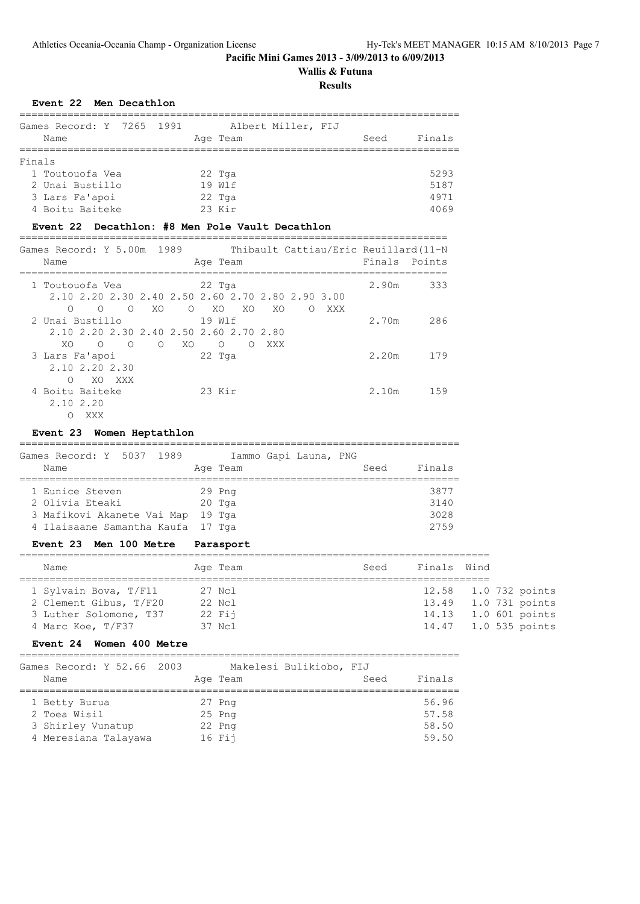# **Wallis & Futuna**

## **Results**

## **Event 22 Men Decathlon**

|        | Games Record: Y 7265 1991 |  |  |          | Albert Miller, FIJ |      |        |
|--------|---------------------------|--|--|----------|--------------------|------|--------|
|        | Name                      |  |  | Age Team |                    | Seed | Finals |
|        |                           |  |  |          |                    |      |        |
| Finals |                           |  |  |          |                    |      |        |
|        | 1 Toutouofa Vea           |  |  | 22 Tga   |                    |      | 5293   |
|        | 2 Unai Bustillo           |  |  | 19 Wlf   |                    |      | 5187   |
|        | 3 Lars Fa'apoi            |  |  | $22$ Tga |                    |      | 4971   |
|        | 4 Boitu Baiteke           |  |  | $23$ Kir |                    |      | 4069   |

## **Event 22 Decathlon: #8 Men Pole Vault Decathlon**

| Games Record: Y 5.00m 1989<br>Thibault Cattiau/Eric Reuillard (11-N<br>Name<br>Age Team                                                                                     | Finals Points |     |
|-----------------------------------------------------------------------------------------------------------------------------------------------------------------------------|---------------|-----|
| 22 Tga<br>1 Toutouofa Vea<br>2.10 2.20 2.30 2.40 2.50 2.60 2.70 2.80 2.90 3.00<br>XO<br>$\circ$<br>XO<br>XO.<br>$\bigcirc$<br>XO.<br>$\Omega$<br>$\Omega$<br>XXX<br>$\circ$ | 2.90m         | 333 |
| 2 Unai Bustillo<br>19 Wlf<br>2.10 2.20 2.30 2.40 2.50 2.60 2.70 2.80<br>XO.<br>$\bigcirc$<br>XO<br>$\bigcirc$<br>$\bigcirc$<br>XXX<br>∩<br>∩                                | 2.70m         | 286 |
| $22$ Tga<br>3 Lars Fa'apoi<br>2.10 2.20 2.30<br>XO.<br>XXX<br>∩                                                                                                             | 2.20m         | 179 |
| 4 Boitu Baiteke<br>23 Kir<br>2.10 2.20<br>XXX<br>$\cup$                                                                                                                     | 2.10m         | 159 |

## **Event 23 Women Heptathlon**

| Games Record: Y 5037 1989<br>Name |  |  | Age Team | Iammo Gapi Launa, PNG | Seed | Finals |
|-----------------------------------|--|--|----------|-----------------------|------|--------|
| 1 Eunice Steven                   |  |  | $29$ Pnq |                       |      | 3877   |
| 2 Olivia Eteaki                   |  |  | 20 Tga   |                       |      | 3140   |
| 3 Mafikovi Akanete Vai Map        |  |  | 19 Taa   |                       |      | 3028   |
| 4 Ilaisaane Samantha Kaufa 17 Tga |  |  |          |                       |      | 2759   |

#### **Event 23 Men 100 Metre Parasport**

| Name                   | Age Team | Seed | Finals Wind |                      |
|------------------------|----------|------|-------------|----------------------|
|                        |          |      |             |                      |
| 1 Sylvain Bova, T/F11  | 27 Ncl   |      |             | 12.58 1.0 732 points |
| 2 Clement Gibus, T/F20 | 22 Ncl   |      |             | 13.49 1.0 731 points |
| 3 Luther Solomone, T37 | $22$ Fii |      |             | 14.13 1.0 601 points |
| 4 Marc Koe, T/F37      | 37 Ncl   |      |             | 14.47 1.0 535 points |
|                        |          |      |             |                      |

## **Event 24 Women 400 Metre**

| Games Record: Y 52.66 2003<br>Name |  | Makelesi Bulikiobo, FIJ<br>Age Team | Seed | Finals |
|------------------------------------|--|-------------------------------------|------|--------|
|                                    |  |                                     |      |        |
| 1 Betty Burua                      |  | 27 Png                              |      | 56.96  |
| 2 Toea Wisil                       |  | $25$ Pnq                            |      | 57.58  |
| 3 Shirley Vunatup                  |  | 22 Png                              |      | 58.50  |
| 4 Meresiana Talayawa               |  | 16 Fii                              |      | 59.50  |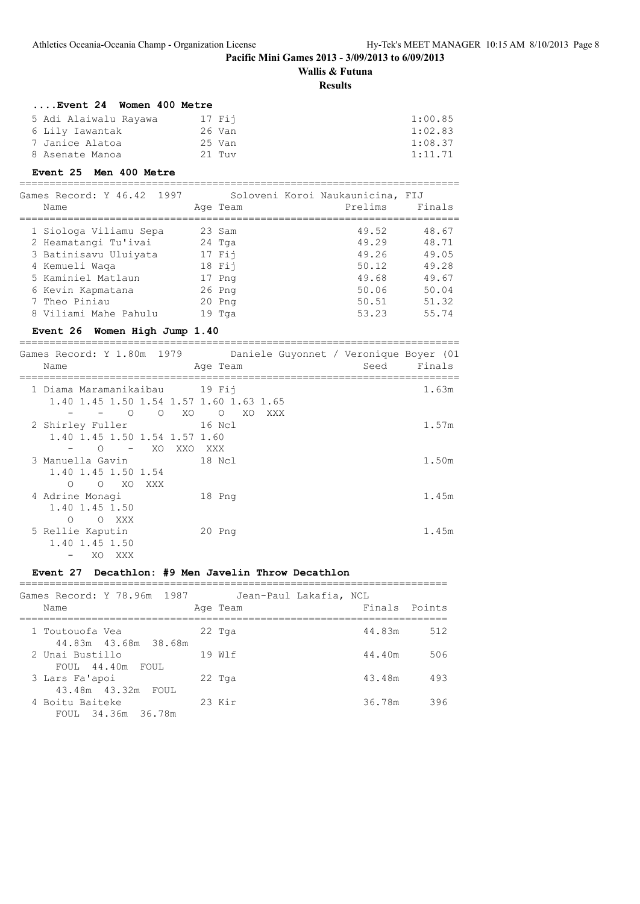## **Wallis & Futuna**

## **Results**

| $\ldots$ Event 24<br><b>Women 400 Metre</b> |          |         |
|---------------------------------------------|----------|---------|
| 5 Adi Alaiwalu Rayawa                       | $17$ Fii | 1:00.85 |
| 6 Lily Iawantak                             | 26 Van   | 1:02.83 |
| 7 Janice Alatoa                             | 25 Van   | 1:08.37 |
| 8 Asenate Manoa                             | $21$ Tuv | 1:11.71 |

## **Event 25 Men 400 Metre**

=========================================================================

| Games Record: Y 46.42 1997 | Soloveni Koroi Naukaunicina, FIJ |         |        |
|----------------------------|----------------------------------|---------|--------|
| Name                       | Age Team                         | Prelims | Finals |
| 1 Siologa Viliamu Sepa     | 23 Sam                           | 49.52   | 48.67  |
| 2 Heamatangi Tu'ivai       | 24 Tga                           | 49.29   | 48.71  |
| 3 Batinisavu Uluiyata      | 17 Fii                           | 49.26   | 49.05  |
| 4 Kemueli Waqa             | 18 Fij                           | 50.12   | 49.28  |
| 5 Kaminiel Matlaun         | 17 Png                           | 49.68   | 49.67  |
| 6 Kevin Kapmatana          | $26$ Pnq                         | 50.06   | 50.04  |
| 7 Theo Piniau              | $20$ Pnq                         | 50.51   | 51.32  |
| 8 Viliami Mahe Pahulu      | $19$ Tga                         | 53.23   | 55.74  |
|                            |                                  |         |        |

## **Event 26 Women High Jump 1.40**

========================================================================= Games Record: Y 1.80m 1979 Daniele Guyonnet / Veronique Boyer (01

| Name                                                                  | Age Team              | Seed | Finals |
|-----------------------------------------------------------------------|-----------------------|------|--------|
| 1 Diama Maramanikaibau 19 Fij                                         |                       |      | 1.63m  |
| 1.40 1.45 1.50 1.54 1.57 1.60 1.63 1.65<br>$\Omega$<br>XO<br>$\Omega$ | $\circ$<br>XO.<br>XXX |      |        |
| 2 Shirley Fuller                                                      | 16 Ncl                |      | 1.57m  |
| 1.40 1.45 1.50 1.54 1.57 1.60<br>XO.<br>XXO<br>$\bigcirc$             | XXX                   |      |        |
| 3 Manuella Gavin                                                      | 18 Ncl                |      | 1.50m  |
| 1.40 1.45 1.50 1.54                                                   |                       |      |        |
| $\Omega$<br>O XO<br>XXX<br>4 Adrine Monagi                            | 18 Png                |      | 1.45m  |
| 1.40 1.45 1.50                                                        |                       |      |        |
| O XXX<br>$\bigcirc$<br>5 Rellie Kaputin                               | 20 Png                |      | 1.45m  |
| 1.40 1.45 1.50                                                        |                       |      |        |
| XO.<br>XXX                                                            |                       |      |        |

## **Event 27 Decathlon: #9 Men Javelin Throw Decathlon**

| Games Record: Y 78.96m 1987             | Jean-Paul Lakafia, NCL |               |     |
|-----------------------------------------|------------------------|---------------|-----|
| Name                                    | Age Team               | Finals Points |     |
| 1 Toutouofa Vea<br>44.83m 43.68m 38.68m | 22 Tga                 | 44.83m        | 512 |
| 2 Unai Bustillo<br>FOUL 44.40m FOUL     | 19 W1f                 | 44.40m        | 506 |
| 3 Lars Fa'apoi<br>43.48m 43.32m FOUL    | $22$ Tga               | 43.48m        | 493 |
| 4 Boitu Baiteke<br>FOUL 34.36m 36.78m   | $23$ Kir               | 36.78m        | 396 |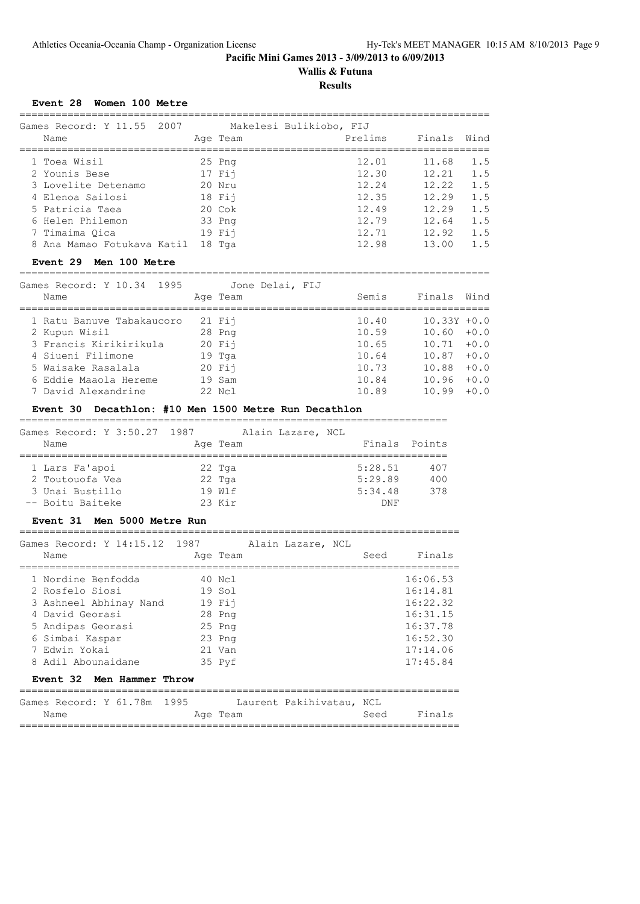# **Wallis & Futuna**

**Results**

## **Event 28 Women 100 Metre**

| Games Record: Y 11.55 2007<br>Name | Age Team         | Makelesi Bulikiobo, FIJ<br>Prelims | Finals | Wind |
|------------------------------------|------------------|------------------------------------|--------|------|
| 1 Toea Wisil                       | $25$ Pnq         | 12.01                              | 11.68  | 1.5  |
| 2 Younis Bese                      | $17$ Fij         | 12.30                              | 12.21  | 1.5  |
| 3 Lovelite Detenamo                | $20$ Nru         | 12.24                              | 12.22  | 1.5  |
| 4 Elenoa Sailosi                   | 18 Fii           | 12.35                              | 12.29  | 1.5  |
| 5 Patricia Taea                    | $20 \text{ Cok}$ | 12.49                              | 12.29  | 1.5  |
| 6 Helen Philemon                   | 33 Png           | 12.79                              | 12.64  | 1.5  |
| 7 Timaima Oica                     | $19$ Fii         | 12.71                              | 12.92  | 1.5  |
| 8 Ana Mamao Fotukava Katil         | 18 Tga           | 12.98                              | 13.00  | 1.5  |
|                                    |                  |                                    |        |      |

#### **Event 29 Men 100 Metre**

==============================================================================

| Games Record: Y 10.34 1995 | Jone Delai, FIJ |       |                |        |
|----------------------------|-----------------|-------|----------------|--------|
| Name                       | Age Team        | Semis | Finals Wind    |        |
| 1 Ratu Banuve Tabakaucoro  | $21$ Fij        | 10.40 | $10.33Y + 0.0$ |        |
| 2 Kupun Wisil              | 28 Png          | 10.59 | $10.60 + 0.0$  |        |
| 3 Francis Kirikirikula     | $20$ Fii        | 10.65 | $10.71 + 0.0$  |        |
| 4 Siueni Filimone          | 19 Tga          | 10.64 | $10.87 + 0.0$  |        |
| 5 Waisake Rasalala         | $20$ Fii        | 10.73 | $10.88 + 0.0$  |        |
| 6 Eddie Maaola Hereme      | 19 Sam          | 10.84 | 10.96          | $+0.0$ |
| 7 David Alexandrine        | 22 Ncl          | 10.89 | 10.99          | $+0.0$ |

#### **Event 30 Decathlon: #10 Men 1500 Metre Run Decathlon**

=======================================================================

| Games Record: Y 3:50.27 1987 | Alain Lazare, NCL |               |     |
|------------------------------|-------------------|---------------|-----|
| Name                         | Age Team          | Finals Points |     |
|                              |                   |               |     |
| 1 Lars Fa'apoi               | 22 Tga            | 5:28.51       | 407 |
| 2 Toutouofa Vea              | 22 Tga            | 5:29.89       | 400 |
| 3 Unai Bustillo              | 19 Wlf            | 5:34.48       | 378 |
| -- Boitu Baiteke             | $23$ Kir          | DNF           |     |

#### **Event 31 Men 5000 Metre Run**

=========================================================================  $G = \begin{bmatrix} 1 & 3 \\ 2 & 1 \\ 3 & 1 \end{bmatrix}$ 

| Games Record: Y 14:15.12 1987                                                                                                                                     |                                                                                  | Alain Lazare, NCL |      |                                                                                              |
|-------------------------------------------------------------------------------------------------------------------------------------------------------------------|----------------------------------------------------------------------------------|-------------------|------|----------------------------------------------------------------------------------------------|
| Name                                                                                                                                                              | Age Team                                                                         |                   | Seed | Finals                                                                                       |
| 1 Nordine Benfodda<br>2 Rosfelo Siosi<br>3 Ashneel Abhinay Nand<br>4 David Georasi<br>5 Andipas Georasi<br>6 Simbai Kaspar<br>7 Edwin Yokai<br>8 Adil Abounaidane | 40 Ncl<br>19 Sol<br>$19$ Fij<br>28 Png<br>$25$ Pnq<br>23 Png<br>21 Van<br>35 Pyf |                   |      | 16:06.53<br>16:14.81<br>16:22.32<br>16:31.15<br>16:37.78<br>16:52.30<br>17:14.06<br>17:45.84 |
| Event 32 Men Hammer Throw                                                                                                                                         |                                                                                  |                   |      |                                                                                              |
|                                                                                                                                                                   |                                                                                  |                   |      |                                                                                              |

|  | Games Record: Y 61.78m 1995 |  |  |  |  |          | Laurent Pakihivatau, NCL |      |        |
|--|-----------------------------|--|--|--|--|----------|--------------------------|------|--------|
|  | Name                        |  |  |  |  | Age Team |                          | Seed | Finals |
|  |                             |  |  |  |  |          |                          |      |        |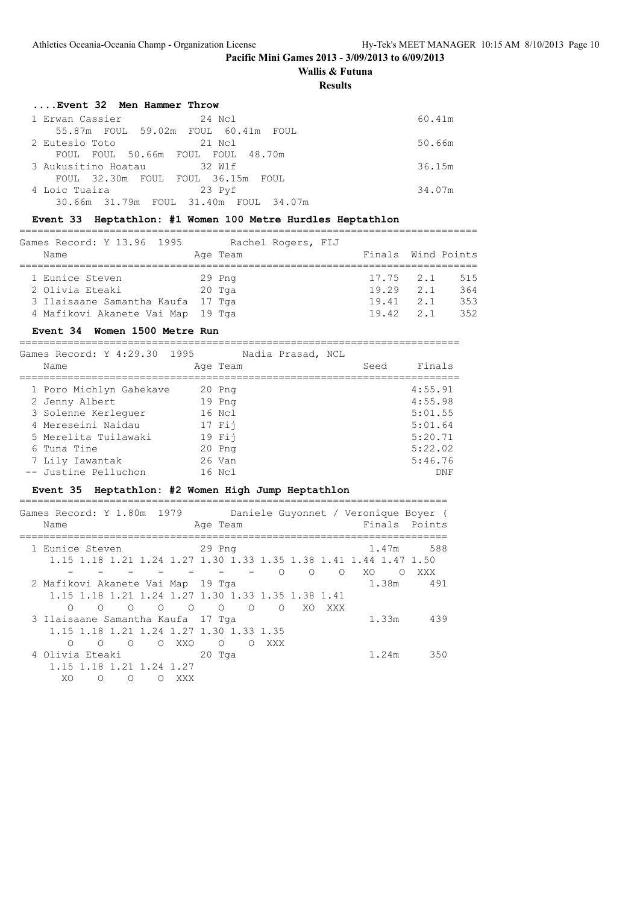**Wallis & Futuna**

**Results**

| Event 32 Men Hammer Throw             |        |
|---------------------------------------|--------|
| 24 Ncl<br>1 Erwan Cassier             | 60.41m |
| 55.87m FOUL 59.02m FOUL 60.41m FOUL   |        |
| 21 Ncl<br>2 Eutesio Toto              | 50.66m |
| FOUL FOUL 50.66m FOUL FOUL 48.70m     |        |
| 3 Aukusitino Hoatau 32 Wlf            | 36.15m |
| FOUL 32.30m FOUL FOUL 36.15m FOUL     |        |
| 4 Loic Tuaira<br>23 Pyf               | 34.07m |
| 30.66m 31.79m FOUL 31.40m FOUL 34.07m |        |

#### **Event 33 Heptathlon: #1 Women 100 Metre Hurdles Heptathlon**

============================================================================

| Games Record: Y 13.96 1995        | Rachel Rogers, FIJ |                    |                     |
|-----------------------------------|--------------------|--------------------|---------------------|
| Name                              | Age Team           | Finals Wind Points |                     |
|                                   |                    |                    |                     |
| 1 Eunice Steven                   | 29 Png             |                    | $17.75$ $2.1$ $515$ |
| 2 Olivia Eteaki                   | 20 Tga             | $19.29$ 2.1        | 364                 |
| 3 Ilaisaane Samantha Kaufa 17 Tga |                    | $19.41$ 2.1        | 353                 |
| 4 Mafikovi Akanete Vai Map 19 Tga |                    | $19.42$ 2.1        | 352                 |

## **Event 34 Women 1500 Metre Run**

=========================================================================

| Games Record: Y 4:29.30 1995 |  |          | Nadia Prasad, NCL |      |         |
|------------------------------|--|----------|-------------------|------|---------|
| Name                         |  | Age Team |                   | Seed | Finals  |
| 1 Poro Michlyn Gahekave      |  | 20 Png   |                   |      | 4:55.91 |
| 2 Jenny Albert               |  | 19 Png   |                   |      | 4:55.98 |
| 3 Solenne Kerlequer          |  | 16 Ncl   |                   |      | 5:01.55 |
| 4 Mereseini Naidau           |  | 17 Fii   |                   |      | 5:01.64 |
| 5 Merelita Tuilawaki         |  | 19 Fii   |                   |      | 5:20.71 |
| 6 Tuna Tine                  |  | $20$ Pnq |                   |      | 5:22.02 |
| 7 Lily Iawantak              |  | 26 Van   |                   |      | 5:46.76 |
| -- Justine Pelluchon         |  | 16 Ncl   |                   |      | DNF     |

## **Event 35 Heptathlon: #2 Women High Jump Heptathlon**

| Games Record: Y 1.80m 1979<br>Name                               |         | Age Team |         |          |          |          |       | Daniele Guyonnet / Veronique Boyer (<br>Finals Points |
|------------------------------------------------------------------|---------|----------|---------|----------|----------|----------|-------|-------------------------------------------------------|
| 1 Eunice Steven                                                  | 29 Png  |          |         |          |          |          | 1.47m | 588                                                   |
| 1.15 1.18 1.21 1.24 1.27 1.30 1.33 1.35 1.38 1.41 1.44 1.47 1.50 |         |          |         |          |          |          |       |                                                       |
|                                                                  |         |          |         | $\Omega$ | $\Omega$ | $\Omega$ | XO.   | $\Omega$<br>XXX                                       |
| 2 Mafikovi Akanete Vai Map 19 Tga                                |         |          |         |          |          |          | 1.38m | 491                                                   |
| 1.15 1.18 1.21 1.24 1.27 1.30 1.33 1.35 1.38 1.41                |         |          |         |          |          |          |       |                                                       |
| $\bigcirc$<br>$\circ$<br>∩<br>$\bigcirc$                         | $\circ$ | $\Omega$ | $\circ$ | $\Omega$ | XO       | XXX      |       |                                                       |
| 3 Ilaisaane Samantha Kaufa 17 Tqa                                |         |          |         |          |          |          | 1.33m | 439                                                   |
| 1.15 1.18 1.21 1.24 1.27 1.30 1.33 1.35                          |         |          |         |          |          |          |       |                                                       |
| $\bigcirc$<br>XXO<br>∩<br>∩<br>$\Omega$                          |         | $\Omega$ | ∩       | XXX      |          |          |       |                                                       |
| 4 Olivia Eteaki                                                  |         | 20 Tga   |         |          |          |          | 1.24m | 350                                                   |
| 1.15 1.18 1.21 1.24 1.27                                         |         |          |         |          |          |          |       |                                                       |
| XO<br>∩<br>XXX<br>∩                                              |         |          |         |          |          |          |       |                                                       |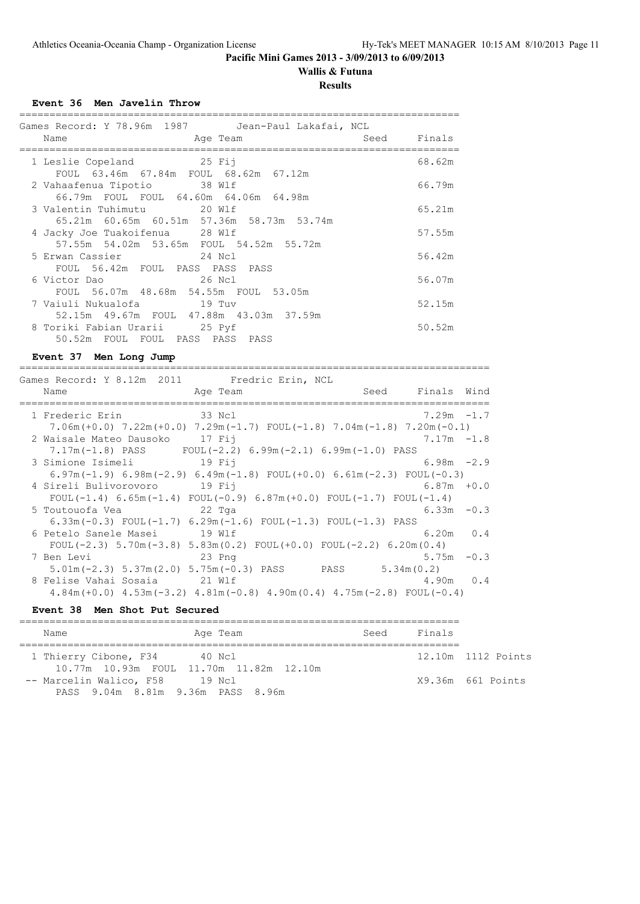# **Wallis & Futuna**

## **Results**

## **Event 36 Men Javelin Throw**

| Games Record: Y 78.96m 1987   Jean-Paul Lakafai, NCL                                |        |
|-------------------------------------------------------------------------------------|--------|
| Seed<br>Aqe Team<br>Name                                                            | Finals |
| 1 Leslie Copeland 25 Fij<br>FOUL 63.46m 67.84m FOUL 68.62m 67.12m                   | 68.62m |
| 2 Vahaafenua Tipotio 38 Wlf<br>66.79m FOUL FOUL 64.60m 64.06m 64.98m                | 66.79m |
| 3 Valentin Tuhimutu             20 Wlf<br>65.21m 60.65m 60.51m 57.36m 58.73m 53.74m | 65.21m |
| 4 Jacky Joe Tuakoifenua 28 Wlf<br>57.55m 54.02m 53.65m FOUL 54.52m 55.72m           | 57.55m |
| 5 Erwan Cassier 24 Ncl<br>FOUL 56.42m FOUL PASS PASS PASS                           | 56.42m |
| 26 Nol<br>6 Victor Dao<br>FOUL 56.07m 48.68m 54.55m FOUL 53.05m                     | 56.07m |
| 52.15m  49.67m  FOUL  47.88m  43.03m  37.59m                                        | 52.15m |
| 8 Toriki Fabian Urarii 25 Pyf<br>50.52m FOUL FOUL PASS PASS PASS                    | 50.52m |

## **Event 37 Men Long Jump**

| Games Record: Y 8.12m 2011 Fredric Erin, NCL                                                     |                  |  |
|--------------------------------------------------------------------------------------------------|------------------|--|
| Age Team<br>Name                                                                                 | Seed Finals Wind |  |
| 1 Frederic Erin<br>and the state of 33 Not                                                       | $7.29m - 1.7$    |  |
| $7.06m (+0.0)$ $7.22m (+0.0)$ $7.29m (-1.7)$ $FOUL (-1.8)$ $7.04m (-1.8)$ $7.20m (-0.1)$         |                  |  |
| 2 Waisale Mateo Dausoko 17 Fij                                                                   | $7.17m - 1.8$    |  |
| $7.17m(-1.8)$ PASS FOUL(-2.2) 6.99m(-2.1) 6.99m(-1.0) PASS                                       |                  |  |
| 3 Simione Isimeli 19 Fij                                                                         | $6.98m - 2.9$    |  |
| 6.97m( $-1.9$ ) 6.98m( $-2.9$ ) 6.49m( $-1.8$ ) FOUL( $+0.0$ ) 6.61m( $-2.3$ ) FOUL( $-0.3$ )    |                  |  |
| 4 Sireli Bulivorovoro 19 Fij                                                                     | $6.87m + 0.0$    |  |
| FOUL $(-1.4)$ 6.65m $(-1.4)$ FOUL $(-0.9)$ 6.87m $(+0.0)$ FOUL $(-1.7)$ FOUL $(-1.4)$            |                  |  |
| 5 Toutouofa Vea 60 1022 Tga                                                                      | $6.33m - 0.3$    |  |
| $6.33$ m(-0.3) FOUL(-1.7) $6.29$ m(-1.6) FOUL(-1.3) FOUL(-1.3) PASS                              |                  |  |
| 6 Petelo Sanele Masei 19 Wlf                                                                     | $6.20m$ $0.4$    |  |
| FOUL $(-2.3)$ 5.70m $(-3.8)$ 5.83m $(0.2)$ FOUL $(+0.0)$ FOUL $(-2.2)$ 6.20m $(0.4)$             |                  |  |
| 23 Png<br>7 Ben Levi                                                                             | $5.75m - 0.3$    |  |
| $5.01\text{m}$ (-2.3) $5.37\text{m}$ (2.0) $5.75\text{m}$ (-0.3) PASS PASS 5.34 $\text{m}$ (0.2) |                  |  |
| 8 Felise Vahai Sosaia 21 Wlf                                                                     | $4.90m$ 0.4      |  |
| $4.84m (+0.0)$ $4.53m (-3.2)$ $4.81m (-0.8)$ $4.90m (0.4)$ $4.75m (-2.8)$ FOUL(-0.4)             |                  |  |
|                                                                                                  |                  |  |
| Event 38 Men Shot Put Secured                                                                    |                  |  |

| Name                                    | Age Team | Seed | Finals |                    |
|-----------------------------------------|----------|------|--------|--------------------|
| 1 Thierry Cibone, F34 40 Ncl            |          |      |        | 12.10m 1112 Points |
| 10.77m 10.93m FOUL 11.70m 11.82m 12.10m |          |      |        |                    |
| -- Marcelin Walico, F58 19 Ncl          |          |      |        | X9.36m 661 Points  |
| PASS 9.04m 8.81m 9.36m PASS 8.96m       |          |      |        |                    |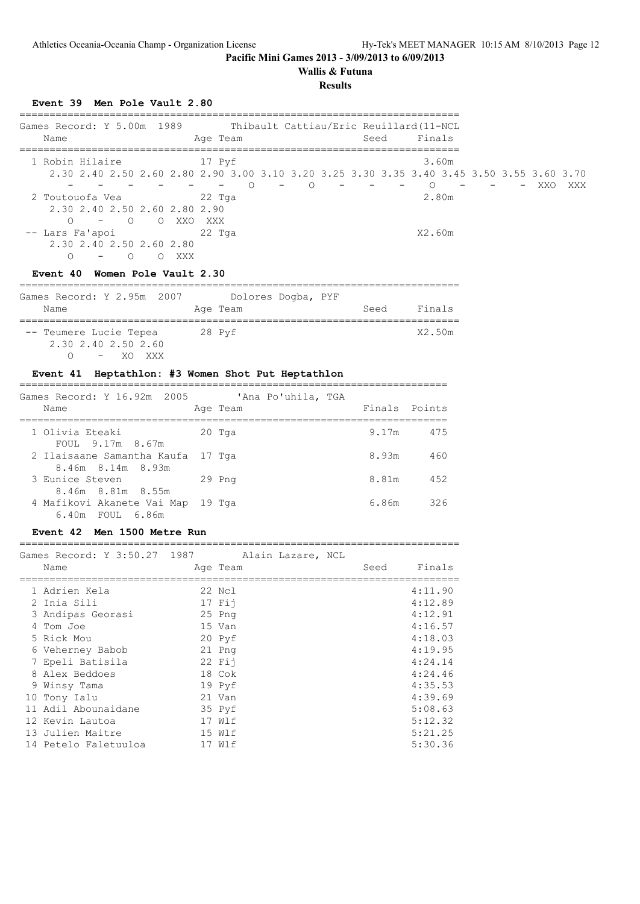## **Wallis & Futuna**

#### **Results**

## **Event 39 Men Pole Vault 2.80**

| Games Record: Y 5.00m 1989<br>Name                                       |                  |  |                                                     | Age Team                           |           | Thibault Cattiau/Eric Reuillard (11-NCL                                                        | Seed | Finals  |       |     |     |     |
|--------------------------------------------------------------------------|------------------|--|-----------------------------------------------------|------------------------------------|-----------|------------------------------------------------------------------------------------------------|------|---------|-------|-----|-----|-----|
| 1 Robin Hilaire                                                          |                  |  |                                                     | 17 Pvf<br>$\overline{\phantom{0}}$ | $\circ$ 0 | 2,30 2,40 2,50 2,60 2,80 2,90 3,00 3,10 3,20 3,25 3,30 3,35 3,40 3,45 3,50 3,55 3,60 3,70<br>∩ |      | $\circ$ | 3.60m | $-$ | XXO | XXX |
| 2 Toutouofa Vea<br>∩<br>-- Lars Fa'apoi<br>2.30 2.40 2.50 2.60 2.80<br>∩ | $\left( \right)$ |  | 2.30 2.40 2.50 2.60 2.80 2.90<br>$-$ 0 0 XXO<br>XXX | 22 Tga<br>XXX X<br>$22$ Tga        |           |                                                                                                |      | X2.60m  | 2.80m |     |     |     |

## **Event 40 Women Pole Vault 2.30**

| Games Record: Y 2.95m 2007 |          | Dolores Dogba, PYF |                |
|----------------------------|----------|--------------------|----------------|
| Name                       | Age Team |                    | Finals<br>Seed |
| -- Teumere Lucie Tepea     | 28 Pyf   |                    | X2.50m         |
| 2.30 2.40 2.50 2.60        |          |                    |                |
| - XO XXX                   |          |                    |                |

## **Event 41 Heptathlon: #3 Women Shot Put Heptathlon**

| Games Record: Y 16.92m 2005<br>Name                       | 'Ana Po'uhila, TGA<br>Age Team |       | Finals Points |
|-----------------------------------------------------------|--------------------------------|-------|---------------|
| 1 Olivia Eteaki<br>FOUL 9.17m 8.67m                       | 20 Tga                         | 9.17m | 475           |
| 2 Ilaisaane Samantha Kaufa 17 Tga<br>8.46m 8.14m 8.93m    |                                | 8.93m | 460           |
| 3 Eunice Steven<br>8.46m 8.81m 8.55m                      | $29$ Pnq                       | 8.81m | 452           |
| 4 Mafikovi Akanete Vai Map 19 Tga<br>$6.40m$ FOUL $6.86m$ |                                | 6.86m | 326           |

## **Event 42 Men 1500 Metre Run**

| Games Record: Y 3:50.27 1987<br>Name | Age Team | Alain Lazare, NCL | Seed | Finals  |
|--------------------------------------|----------|-------------------|------|---------|
| 1 Adrien Kela                        | 22 Ncl   |                   |      | 4:11.90 |
| 2 Inia Sili                          | $17$ Fij |                   |      | 4:12.89 |
| 3 Andipas Georasi                    | $25$ Pnq |                   |      | 4:12.91 |
| 4 Tom Joe                            | 15 Van   |                   |      | 4:16.57 |
| 5 Rick Mou                           | 20 Pyf   |                   |      | 4:18.03 |
| 6 Veherney Babob                     | 21 Png   |                   |      | 4:19.95 |
| 7 Epeli Batisila                     | $22$ Fij |                   |      | 4:24.14 |
| 8 Alex Beddoes                       | 18 Cok   |                   |      | 4:24.46 |
| 9 Winsy Tama                         | 19 Pyf   |                   |      | 4:35.53 |
| 10 Tony Ialu                         | 21 Van   |                   |      | 4:39.69 |
| 11 Adil Abounaidane                  | 35 Pyf   |                   |      | 5:08.63 |
| 12 Kevin Lautoa                      | 17 Wlf   |                   |      | 5:12.32 |
| 13 Julien Maitre                     | 15 Wlf   |                   |      | 5:21.25 |
| 14 Petelo Faletuuloa                 | 17 Wlf   |                   |      | 5:30.36 |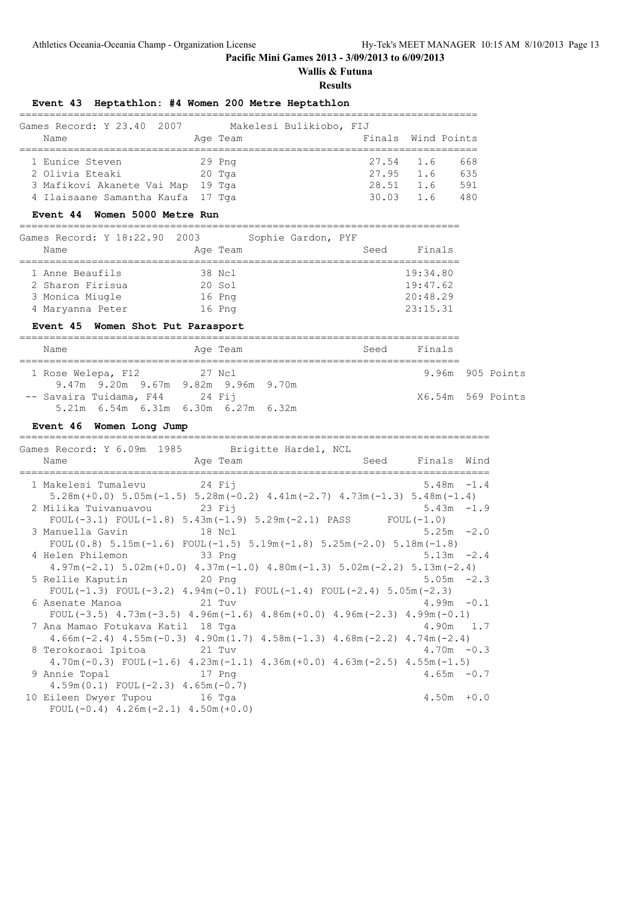**Wallis & Futuna**

**Results**

## **Event 43 Heptathlon: #4 Women 200 Metre Heptathlon**

| Games Record: Y 23.40 2007<br>Name                              | Makelesi Bulikiobo, FIJ<br>Age Team | Finals Wind Points       |     |            |
|-----------------------------------------------------------------|-------------------------------------|--------------------------|-----|------------|
| 1 Eunice Steven<br>2 Olivia Eteaki                              | $29$ Pnq<br>20 Tga                  | 27.54 1.6<br>$27.95$ 1.6 |     | 668<br>635 |
| 3 Mafikovi Akanete Vai Map<br>4 Ilaisaane Samantha Kaufa 17 Tga | 19 Tga                              | 28.51<br>$30.03$ 1.6     | 1.6 | 591<br>480 |

## **Event 44 Women 5000 Metre Run**

========================================================================= Games Record: Y 18:22.90 2003 Sophie Gardon, PYF Name **Age Team** Seed Finals

| 1 Anne Beaufils  | 38 Ncl   | 19:34.80 |
|------------------|----------|----------|
| 2 Sharon Firisua | $20$ Sol | 19:47.62 |
| 3 Monica Miugle  | 16 Png   | 20:48.29 |
| 4 Maryanna Peter | 16 Png   | 23:15.31 |

## **Event 45 Women Shot Put Parasport**

|  | Name                                  | Age Team |  | Seed | Finals            |  |  |
|--|---------------------------------------|----------|--|------|-------------------|--|--|
|  |                                       |          |  |      |                   |  |  |
|  | 1 Rose Welepa, F12                    | 27 Ncl   |  |      | 9.96m 905 Points  |  |  |
|  | 9.47m 9.20m 9.67m 9.82m 9.96m 9.70m   |          |  |      |                   |  |  |
|  | -- Savaira Tuidama, F44 24 Fij        |          |  |      | X6.54m 569 Points |  |  |
|  | $5.21m$ 6.54m 6.31m 6.30m 6.27m 6.32m |          |  |      |                   |  |  |

## **Event 46 Women Long Jump**

==============================================================================

| Games Record: Y 6.09m 1985 Brigitte Hardel, NCL                                                 |                                                                                                                 |  |                  |  |  |  |  |
|-------------------------------------------------------------------------------------------------|-----------------------------------------------------------------------------------------------------------------|--|------------------|--|--|--|--|
| Name                                                                                            | Age Team and the state of the state of the state of the state of the state of the state of the state of the sta |  | Seed Finals Wind |  |  |  |  |
| 1 Makelesi Tumalevu 24 Fij                                                                      |                                                                                                                 |  | $5.48m - 1.4$    |  |  |  |  |
| $5.28$ m (+0.0) $5.05$ m (-1.5) $5.28$ m (-0.2) $4.41$ m (-2.7) $4.73$ m (-1.3) $5.48$ m (-1.4) |                                                                                                                 |  |                  |  |  |  |  |
| 2 Milika Tuivanuavou 23 Fij                                                                     |                                                                                                                 |  | $5.43m - 1.9$    |  |  |  |  |
| FOUL $(-3.1)$ FOUL $(-1.8)$ 5.43m $(-1.9)$ 5.29m $(-2.1)$ PASS FOUL $(-1.0)$                    |                                                                                                                 |  |                  |  |  |  |  |
| 3 Manuella Gavin 18 Ncl                                                                         |                                                                                                                 |  | $5.25m -2.0$     |  |  |  |  |
| FOUL $(0.8)$ 5.15m $(-1.6)$ FOUL $(-1.5)$ 5.19m $(-1.8)$ 5.25m $(-2.0)$ 5.18m $(-1.8)$          |                                                                                                                 |  |                  |  |  |  |  |
| 4 Helen Philemon 33 Png                                                                         |                                                                                                                 |  | $5.13m -2.4$     |  |  |  |  |
| $4.97m(-2.1)$ 5.02m(+0.0) $4.37m(-1.0)$ $4.80m(-1.3)$ 5.02m(-2.2) 5.13m(-2.4)                   |                                                                                                                 |  |                  |  |  |  |  |
| 5 Rellie Kaputin 20 Png                                                                         |                                                                                                                 |  | $5.05m - 2.3$    |  |  |  |  |
| FOUL(-1.3) FOUL(-3.2) $4.94m(-0.1)$ FOUL(-1.4) FOUL(-2.4) $5.05m(-2.3)$                         |                                                                                                                 |  |                  |  |  |  |  |
| 6 Asenate Manoa<br>21 Tuv                                                                       |                                                                                                                 |  | $4.99m - 0.1$    |  |  |  |  |
| FOUL $(-3.5)$ 4.73m $(-3.5)$ 4.96m $(-1.6)$ 4.86m $(+0.0)$ 4.96m $(-2.3)$ 4.99m $(-0.1)$        |                                                                                                                 |  |                  |  |  |  |  |
| 7 Ana Mamao Fotukava Katil 18 Tga                                                               |                                                                                                                 |  | $4.90m$ 1.7      |  |  |  |  |
| $4.66m(-2.4)$ $4.55m(-0.3)$ $4.90m(1.7)$ $4.58m(-1.3)$ $4.68m(-2.2)$ $4.74m(-2.4)$              |                                                                                                                 |  |                  |  |  |  |  |
| 8 Terokoraoi Ipitoa alega 21 Tuv                                                                |                                                                                                                 |  | $4.70m - 0.3$    |  |  |  |  |
| $4.70$ m(-0.3) FOUL(-1.6) $4.23$ m(-1.1) $4.36$ m(+0.0) $4.63$ m(-2.5) $4.55$ m(-1.5)           |                                                                                                                 |  |                  |  |  |  |  |
| 9 Annie Topal<br>and the 17 Pnq                                                                 |                                                                                                                 |  | $4.65m - 0.7$    |  |  |  |  |
| $4.59m(0.1)$ FOUL $(-2.3)$ $4.65m(-0.7)$                                                        |                                                                                                                 |  |                  |  |  |  |  |
| 10 Eileen Dwyer Tupou 16 Tga                                                                    |                                                                                                                 |  | $4.50m + 0.0$    |  |  |  |  |
| FOUL $(-0.4)$ 4.26m $(-2.1)$ 4.50m $(+0.0)$                                                     |                                                                                                                 |  |                  |  |  |  |  |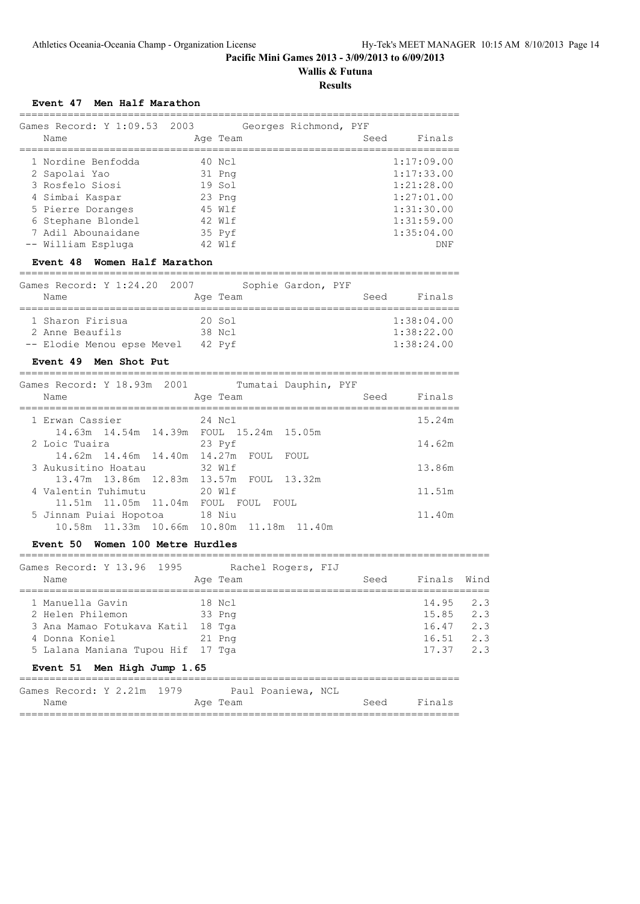# **Wallis & Futuna**

## **Results**

| Event 47 Men Half Marathon |  |
|----------------------------|--|
|----------------------------|--|

|                                                                           |        |          |                               |      | __________________________    |
|---------------------------------------------------------------------------|--------|----------|-------------------------------|------|-------------------------------|
| Games Record: Y 1:09.53 2003 Georges Richmond, PYF                        |        |          |                               |      |                               |
| Name                                                                      |        | Age Team |                               |      | Seed Finals                   |
| 1 Nordine Benfodda                                                        | 40 Ncl |          |                               |      | 1:17:09.00                    |
| 2 Sapolai Yao                                                             | 31 Png |          |                               |      | 1:17:33.00                    |
| 3 Rosfelo Siosi                                                           | 19 Sol |          |                               |      | 1:21:28.00                    |
| 4 Simbai Kaspar                                                           | 23 Png |          |                               |      | 1:27:01.00                    |
| 5 Pierre Doranges 45 Wlf                                                  |        |          |                               |      | 1:31:30.00                    |
| 6 Stephane Blondel                                                        | 42 Wlf |          |                               |      | 1:31:59.00                    |
| 7 Adil Abounaidane<br>$35$ Pyf                                            |        |          |                               |      | 1:35:04.00                    |
| -- William Espluga                                                        | 42 Wlf |          |                               |      | DNF                           |
|                                                                           |        |          |                               |      |                               |
| Women Half Marathon<br>Event 48                                           |        |          |                               |      |                               |
| Games Record: Y 1:24.20 2007                                              |        |          | Sophie Gardon, PYF            |      |                               |
| Name                                                                      |        | Age Team |                               | Seed | Finals                        |
| 1 Sharon Firisua<br>20 Sol                                                |        |          | ----------------------------- |      | 1:38:04.00                    |
| 2 Anne Beaufils<br>38 Ncl                                                 |        |          |                               |      | 1:38:22.00                    |
|                                                                           |        |          |                               |      | 1:38:24.00                    |
| -- Elodie Menou epse Mevel 42 Pyf                                         |        |          |                               |      |                               |
| Event 49 Men Shot Put<br>-----------------------------------              |        |          |                               |      |                               |
| Games Record: Y 18.93m 2001 Tumatai Dauphin, PYF                          |        |          |                               |      |                               |
| Name                                                                      |        | Age Team |                               | Seed | Finals                        |
| =================================                                         |        |          |                               |      | . ___________________________ |
| 1 Erwan Cassier<br>24 Nol<br>14.63m  14.54m  14.39m  FOUL  15.24m  15.05m |        |          |                               |      | 15.24m                        |
| 2 Loic Tuaira                                                             |        |          |                               |      |                               |
| 23 Pyf                                                                    |        |          |                               |      | 14.62m                        |
| 14.62m  14.46m  14.40m  14.27m  FOUL  FOUL<br>3 Aukusitino Hoatau         |        | 32 Wlf   |                               |      | 13.86m                        |
| 13.47m 13.86m 12.83m 13.57m FOUL 13.32m                                   |        |          |                               |      |                               |
|                                                                           |        |          |                               |      |                               |

| 4 Valentin Tuhimutu                       | 20 Wlf | 11.51m |
|-------------------------------------------|--------|--------|
| 11.51m  11.05m  11.04m  FOUL  FOUL  FOUL  |        |        |
| 5 Jinnam Puiai Hopotoa 18 Niu             |        | 11.40m |
| 10.58m 11.33m 10.66m 10.80m 11.18m 11.40m |        |        |

#### **Event 50 Women 100 Metre Hurdles**

Games Record: Y 13.96 1995 Rachel Rogers, FIJ Name **Age Team** Seed Finals Wind ============================================================================== 1 Manuella Gavin 18 Ncl 14.95 2.3 2 Helen Philemon 33 Png 15.85 2.3 3 Ana Mamao Fotukava Katil 18 Tga 16.47 2.3<br>4 Donna Koniel 21 Png 16.51 2.3<br>5 Lalana Maniana Tupou Hif 17 Tga 17.37 2.3 4 Donna Koniel 21 Png 5 Lalana Maniana Tupou Hif 17 Tga **Event 51 Men High Jump 1.65**

==============================================================================

| Games Record: Y 2.21m 1979 |  |  |          | Paul Poaniewa, NCL |      |        |
|----------------------------|--|--|----------|--------------------|------|--------|
| Name                       |  |  | Age Team |                    | Seed | Finals |
|                            |  |  |          |                    |      |        |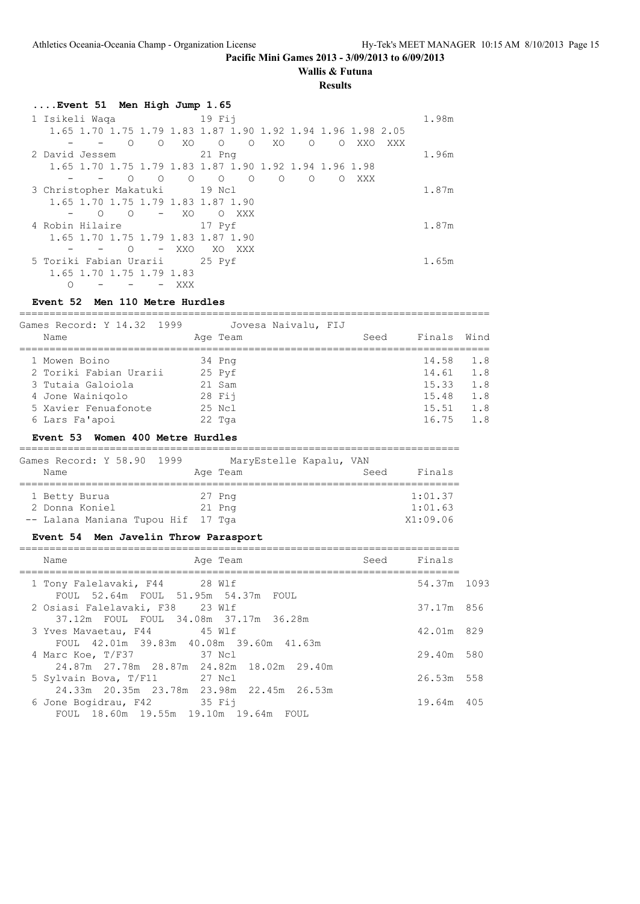## **Wallis & Futuna**

#### **Results**

| Event 51 Men High Jump 1.65                                                                   |       |
|-----------------------------------------------------------------------------------------------|-------|
| $19$ Fii<br>1 Isikeli Waqa                                                                    | 1.98m |
| 1.65 1.70 1.75 1.79 1.83 1.87 1.90 1.92 1.94 1.96 1.98 2.05                                   |       |
| XO.<br>$\Omega$<br>XO<br>$\Omega$<br>$\Omega$<br>$\circ$<br>$\Omega$<br>XXO<br>$\circ$<br>XXX |       |
| 2 David Jessem<br>21 Png                                                                      | 1.96m |
| 1.65 1.70 1.75 1.79 1.83 1.87 1.90 1.92 1.94 1.96 1.98                                        |       |
| $\Omega$<br>$\Omega$<br>$\Omega$<br>$\Omega$<br>$\circ$<br>$\Omega$<br>XXX<br>$\Omega$<br>Ω   |       |
| 3 Christopher Makatuki<br>19 Ncl                                                              | 1.87m |
| 1.65 1.70 1.75 1.79 1.83 1.87 1.90                                                            |       |
| XO<br>$\Omega$<br>$\Omega$<br>XXX<br>$\Omega$                                                 |       |
| 4 Robin Hilaire<br>17 Pyf                                                                     | 1.87m |
| 1.65 1.70 1.75 1.79 1.83 1.87 1.90                                                            |       |
| XXO<br>$\Omega$<br>XO.<br>XXX<br>$\qquad \qquad -$                                            |       |
| 5 Toriki Fabian Urarii<br>25 Pyf                                                              | 1.65m |
| 1.65 1.70 1.75 1.79 1.83                                                                      |       |
| Ω<br>XXX                                                                                      |       |

## **Event 52 Men 110 Metre Hurdles**

==============================================================================

| Games Record: Y 14.32 1999 | Jovesa Naivalu, FIJ |      |             |     |
|----------------------------|---------------------|------|-------------|-----|
| Name                       | Age Team            | Seed | Finals Wind |     |
| 1 Mowen Boino              | 34 Png              |      | 14.58       | 1.8 |
| 2 Toriki Fabian Urarii     | 25 Pyf              |      | 14.61       | 1.8 |
| 3 Tutaia Galoiola          | 21 Sam              |      | 15.33       | 1.8 |
| 4 Jone Wainigolo           | 28 Fii              |      | 15.48       | 1.8 |
| 5 Xavier Fenuafonote       | 25 Ncl              |      | 15.51       | 1.8 |
| 6 Lars Fa'apoi             | $22$ Tga            |      | 16.75       | 1.8 |
|                            |                     |      |             |     |

## **Event 53 Women 400 Metre Hurdles**

| Games Record: Y 58.90 1999         | MaryEstelle Kapalu, VAN |                |
|------------------------------------|-------------------------|----------------|
| Name                               | Age Team                | Finals<br>Seed |
|                                    |                         |                |
| 1 Betty Burua                      | 27 Png                  | 1:01.37        |
| 2 Donna Koniel                     | $21$ Pnq                | 1:01.63        |
| -- Lalana Maniana Tupou Hif 17 Tga |                         | X1:09.06       |

## **Event 54 Men Javelin Throw Parasport**

| Name<br>Age Team                                                          | Seed | Finals      |  |
|---------------------------------------------------------------------------|------|-------------|--|
| 1 Tony Falelavaki, F44 28 Wlf<br>FOUL 52.64m FOUL 51.95m 54.37m FOUL      |      | 54.37m 1093 |  |
| 2 Osiasi Falelavaki, F38 23 Wlf<br>37.12m FOUL FOUL 34.08m 37.17m 36.28m  |      | 37.17m 856  |  |
| 3 Yves Mavaetau, F44 45 Wlf                                               |      | 42.01m 829  |  |
| FOUL 42.01m 39.83m 40.08m 39.60m 41.63m<br>37 Ncl<br>4 Marc Koe, T/F37    |      | 29.40m 580  |  |
| 24.87m 27.78m 28.87m 24.82m 18.02m 29.40m<br>5 Sylvain Bova, T/F11 27 Ncl |      | 26.53m 558  |  |
| 24.33m 20.35m 23.78m 23.98m 22.45m 26.53m<br>6 Jone Bogidrau, F42 35 Fij  |      | 19.64m 405  |  |
| FOUL 18.60m 19.55m 19.10m 19.64m<br>FOUL                                  |      |             |  |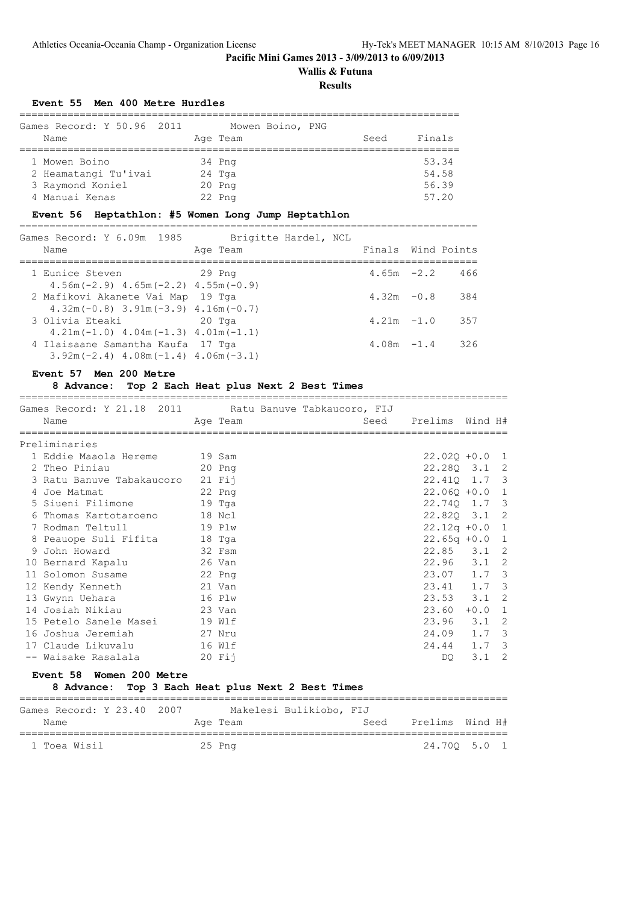# **Wallis & Futuna**

**Results**

## **Event 55 Men 400 Metre Hurdles**

| Games Record: Y 50.96 2011<br>Name | Mowen Boino, PNG<br>Age Team | Seed | Finals |
|------------------------------------|------------------------------|------|--------|
| 1 Mowen Boino                      | 34 Png                       |      | 53.34  |
| 2 Heamatangi Tu'ivai               | 24 Tga                       |      | 54.58  |
| 3 Raymond Koniel                   | $20$ Pnq                     |      | 56.39  |
| 4 Manuai Kenas                     | 22 Png                       |      | 57.20  |

## **Event 56 Heptathlon: #5 Women Long Jump Heptathlon**

| Games Record: Y 6.09m 1985                  | Brigitte Hardel, NCL |               |                    |
|---------------------------------------------|----------------------|---------------|--------------------|
| Name                                        | Age Team             |               | Finals Wind Points |
|                                             |                      |               |                    |
| 1 Eunice Steven                             | 29 Png               | $4.65m - 2.2$ | 466                |
| $4.56m(-2.9)$ $4.65m(-2.2)$ $4.55m(-0.9)$   |                      |               |                    |
| 2 Mafikovi Akanete Vai Map 19 Tga           |                      | $4.32m - 0.8$ | 384                |
| $4.32m(-0.8)$ $3.91m(-3.9)$ $4.16m(-0.7)$   |                      |               |                    |
| 3 Olivia Eteaki                             | 20 Tga               | $4.21m - 1.0$ | 357                |
| $4.21m(-1.0)$ $4.04m(-1.3)$ $4.01m(-1.1)$   |                      |               |                    |
| 4 Ilaisaane Samantha Kaufa 17 Tga           |                      | $4.08m - 1.4$ | 326                |
| $3.92m(-2.4)$ 4.08m $(-1.4)$ 4.06m $(-3.1)$ |                      |               |                    |

## **Event 57 Men 200 Metre**

## **8 Advance: Top 2 Each Heat plus Next 2 Best Times**

| Games Record: Y 21.18 2011 Ratu Banuve Tabkaucoro, FIJ<br>Name |        | Age Team |  | Seed | Prelims Wind H#  |        |                            |
|----------------------------------------------------------------|--------|----------|--|------|------------------|--------|----------------------------|
| Preliminaries                                                  |        |          |  |      |                  |        |                            |
| 1 Eddie Maaola Hereme                                          | 19 Sam |          |  |      | $22.02Q + 0.0$ 1 |        |                            |
|                                                                |        |          |  |      |                  |        |                            |
| 2 Theo Piniau                                                  |        | $20$ Pnq |  |      | 22.280 3.1 2     |        |                            |
| 3 Ratu Banuve Tabakaucoro                                      |        | $21$ Fij |  |      | 22.410 1.7 3     |        |                            |
| 4 Joe Matmat                                                   |        | 22 Png   |  |      | $22.060 + 0.0 1$ |        |                            |
| 5 Siueni Filimone                                              |        | 19 Tga   |  |      | 22.740 1.7 3     |        |                            |
| 6 Thomas Kartotaroeno                                          |        | 18 Ncl   |  |      | 22.820 3.1 2     |        |                            |
| 7 Rodman Teltull                                               |        | 19 Plw   |  |      | $22.12q + 0.0$ 1 |        |                            |
| 8 Peauope Suli Fifita                                          |        | 18 Tga   |  |      | $22.65q +0.0$    |        | 1                          |
| 9 John Howard                                                  | 32 Fsm |          |  |      | $22.85$ $3.1$ 2  |        |                            |
| 10 Bernard Kapalu                                              | 26 Van |          |  |      | 22.96 3.1 2      |        |                            |
| 11 Solomon Susame                                              |        | 22 Png   |  |      | 23.07 1.7 3      |        |                            |
| 12 Kendy Kenneth                                               |        | 21 Van   |  |      | $23.41$ 1.7 3    |        |                            |
| 13 Gwynn Uehara                                                |        | 16 Plw   |  |      | $23.53$ $3.1$ 2  |        |                            |
| 14 Josiah Nikiau                                               |        | 23 Van   |  |      | 23.60            | $+0.0$ | 1                          |
| 15 Petelo Sanele Masei                                         |        | 19 Wlf   |  |      | $23.96$ $3.1$    |        | 2                          |
| 16 Joshua Jeremiah                                             |        | 27 Nru   |  |      | 24.09 1.7 3      |        |                            |
| 17 Claude Likuvalu                                             |        | 16 Wlf   |  |      | 24.44 1.7 3      |        |                            |
| -- Waisake Rasalala                                            |        | $20$ Fij |  |      | DQ.              | 3.1    | $\overline{\phantom{0}}^2$ |
|                                                                |        |          |  |      |                  |        |                            |

#### **Event 58 Women 200 Metre**

## **8 Advance: Top 3 Each Heat plus Next 2 Best Times**

| Games Record: Y 23.40 2007 | Makelesi Bulikiobo, FIJ |      |                 |              |
|----------------------------|-------------------------|------|-----------------|--------------|
| Name                       | Age Team                | Seed | Prelims Wind H# |              |
| 1 Toea Wisil               | 25 Png                  |      |                 | 24.700 5.0 1 |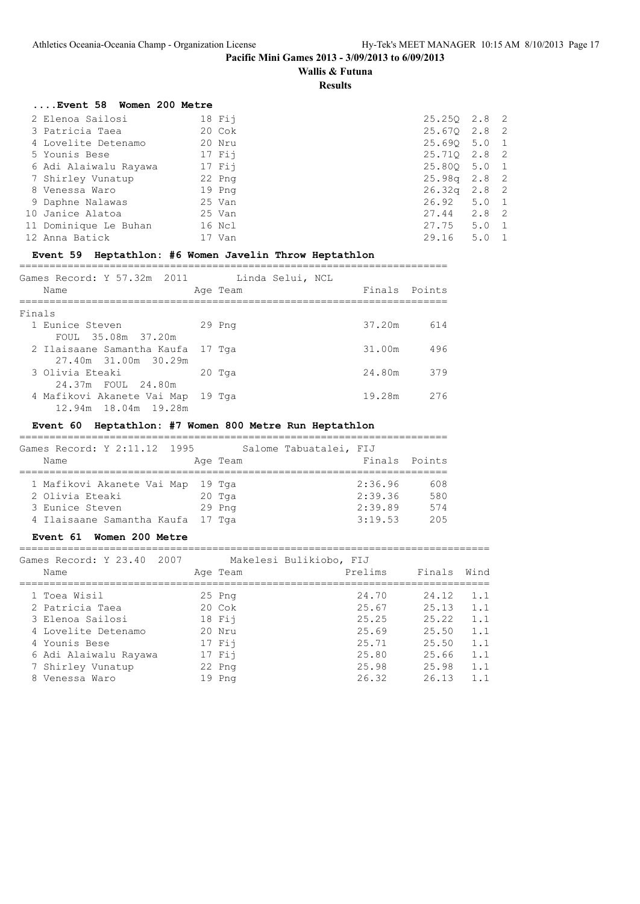## **Wallis & Futuna**

**Results**

| Event 58 Women 200 Metre |                  |
|--------------------------|------------------|
| $18$ Fij                 | 25.250 2.8 2     |
| 20 Cok                   | 25.670 2.8 2     |
| 20 Nru                   | 25.690 5.0 1     |
| $17$ Fij                 | 25.710 2.8 2     |
| $17$ Fij                 | 25.800 5.0 1     |
| 22 Png                   | $25.98q$ 2.8 2   |
| 19 Png                   | $26.32q$ $2.8$ 2 |
| 25 Van                   | $26.92$ $5.0$ 1  |
| 25 Van                   | 27.44 2.8 2      |
| 16 Ncl                   | $27.75$ 5.0 1    |
| 17 Van                   | 29.16 5.0 1      |
|                          |                  |

## **Event 59 Heptathlon: #6 Women Javelin Throw Heptathlon**

| Games Record: Y 57.32m 2011<br>Name                       | Linda Selui, NCL<br>Age Team | Finals Points |     |
|-----------------------------------------------------------|------------------------------|---------------|-----|
| Finals                                                    |                              |               |     |
| 1 Eunice Steven                                           | 29 Png                       | 37.20m        | 614 |
| FOUL 35.08m 37.20m                                        |                              |               |     |
| 2 Ilaisaane Samantha Kaufa 17 Tga                         |                              | 31.00m        | 496 |
| 27.40m 31.00m 30.29m                                      |                              |               |     |
| 3 Olivia Eteaki                                           | 20 Tga                       | 24.80m        | 379 |
| 24.37m FOUL 24.80m                                        |                              |               |     |
| 4 Mafikovi Akanete Vai Map 19 Tga<br>12.94m 18.04m 19.28m |                              | 19.28m        | 276 |

## **Event 60 Heptathlon: #7 Women 800 Metre Run Heptathlon**

| Games Record: Y 2:11.12 1995<br>Name                                                                         | Salome Tabuatalei, FIJ<br>Age Team | Finals Points                            |                          |
|--------------------------------------------------------------------------------------------------------------|------------------------------------|------------------------------------------|--------------------------|
| 1 Mafikovi Akanete Vai Map 19 Tga<br>2 Olivia Eteaki<br>3 Eunice Steven<br>4 Ilaisaane Samantha Kaufa 17 Tga | 20 Tga<br>$29$ Pnq                 | 2:36.96<br>2:39.36<br>2:39.89<br>3:19.53 | 608<br>580<br>574<br>205 |

## **Event 61 Women 200 Metre**

============================================================================== Games Record: Y 23.40 2007 Makelesi Bulikiobo, FIJ

| Galles Record: 1 23.40 2007 | MAKATARI BATIKIODO, LIO |         |        |      |
|-----------------------------|-------------------------|---------|--------|------|
| Name                        | Age Team                | Prelims | Finals | Wind |
|                             |                         |         |        | 1.1  |
| 1 Toea Wisil                | $25$ Pnq                | 24.70   | 24.12  |      |
| 2 Patricia Taea             | $20 \text{ Cok}$        | 25.67   | 25.13  | 1.1  |
| 3 Elenoa Sailosi            | $18$ Fij                | 25.25   | 25.22  | 1.1  |
| 4 Lovelite Detenamo         | 20 Nru                  | 25.69   | 25.50  | 1.1  |
| 4 Younis Bese               | $17$ Fij                | 25.71   | 25.50  | 1.1  |
| 6 Adi Alaiwalu Rayawa       | $17$ Fij                | 25.80   | 25.66  | 1.1  |
| 7 Shirley Vunatup           | 22 Png                  | 25.98   | 25.98  | 1.1  |
| 8 Venessa Waro              | 19 Png                  | 26.32   | 26.13  | 1.1  |
|                             |                         |         |        |      |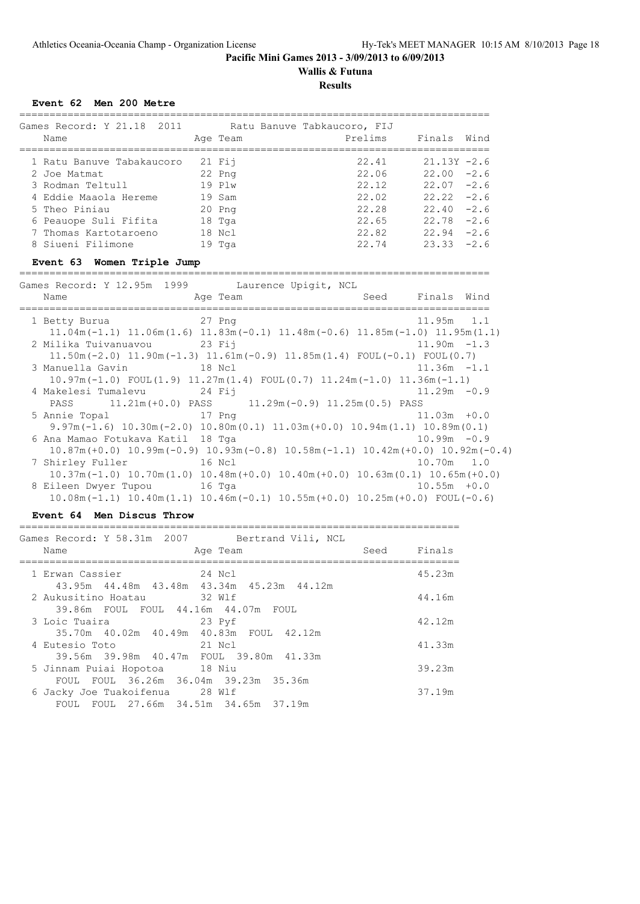**Wallis & Futuna**

## **Results**

## **Event 62 Men 200 Metre**

| Games Record: Y 21.18 2011  |  |          | Ratu Banuve Tabkaucoro, FIJ |                |        |  |
|-----------------------------|--|----------|-----------------------------|----------------|--------|--|
| Name                        |  | Age Team | Prelims                     | Finals         | Wind   |  |
|                             |  |          |                             |                |        |  |
| 1 Ratu Banuve Tabakaucoro   |  | $21$ Fii | 22.41                       | $21.13Y - 2.6$ |        |  |
| 2 Joe Matmat                |  | 22 Png   | 22.06                       | $22.00 - 2.6$  |        |  |
| 3 Rodman Teltull            |  | 19 Plw   | 22.12                       | $22.07 - 2.6$  |        |  |
| 4 Eddie Maaola Hereme       |  | 19 Sam   | 22.02                       | $22.22 - 2.6$  |        |  |
| 5 Theo Piniau               |  | 20 Png   | 22.28                       | $22.40 - 2.6$  |        |  |
| 6 Peauope Suli Fifita       |  | 18 Tga   | 22.65                       | 22.78          | $-2.6$ |  |
| 7 Thomas Kartotaroeno       |  | 18 Ncl   | 22.82                       | $22.94 - 2.6$  |        |  |
| 8 Siueni Filimone           |  | $19$ Tga | 22.74                       | $23.33 - 2.6$  |        |  |
| Event 63 Women Triple Jump  |  |          |                             |                |        |  |
| Games Record: Y 12.95m 1999 |  |          | Laurence Upigit, NCL        |                |        |  |

| Name                              | Age Team                                                                                                        | Seed Finals Wind |                |  |
|-----------------------------------|-----------------------------------------------------------------------------------------------------------------|------------------|----------------|--|
| =============================     |                                                                                                                 |                  |                |  |
| 1 Betty Burua 27 Png              |                                                                                                                 |                  | 11.95m 1.1     |  |
|                                   | $11.04$ m $(-1.1)$ $11.06$ m $(1.6)$ $11.83$ m $(-0.1)$ $11.48$ m $(-0.6)$ $11.85$ m $(-1.0)$ $11.95$ m $(1.1)$ |                  |                |  |
| 2 Milika Tuivanuavou 23 Fij       |                                                                                                                 |                  | $11.90m - 1.3$ |  |
|                                   | $11.50m(-2.0)$ $11.90m(-1.3)$ $11.61m(-0.9)$ $11.85m(1.4)$ FOUL(-0.1) FOUL(0.7)                                 |                  |                |  |
| 3 Manuella Gavin 18 Ncl           |                                                                                                                 |                  | $11.36m - 1.1$ |  |
|                                   | $10.97m(-1.0)$ FOUL $(1.9)$ $11.27m(1.4)$ FOUL $(0.7)$ $11.24m(-1.0)$ $11.36m(-1.1)$                            |                  |                |  |
| 4 Makelesi Tumalevu 24 Fij        |                                                                                                                 |                  | $11.29m - 0.9$ |  |
|                                   | PASS 11.21m(+0.0) PASS 11.29m(-0.9) 11.25m(0.5) PASS                                                            |                  |                |  |
| 5 Annie Topal 17 Png              |                                                                                                                 |                  | $11.03m + 0.0$ |  |
|                                   | $9.97m(-1.6)$ 10.30m $(-2.0)$ 10.80m $(0.1)$ 11.03m $(+0.0)$ 10.94m $(1.1)$ 10.89m $(0.1)$                      |                  |                |  |
| 6 Ana Mamao Fotukava Katil 18 Tga |                                                                                                                 |                  | $10.99m - 0.9$ |  |
|                                   | $10.87m (+0.0)$ $10.99m (-0.9)$ $10.93m (-0.8)$ $10.58m (-1.1)$ $10.42m (+0.0)$ $10.92m (-0.4)$                 |                  |                |  |
| 7 Shirley Fuller 16 Ncl           |                                                                                                                 |                  | $10.70m$ 1.0   |  |
|                                   | $10.37m(-1.0)$ $10.70m(1.0)$ $10.48m(+0.0)$ $10.40m(+0.0)$ $10.63m(0.1)$ $10.65m(+0.0)$                         |                  |                |  |
| 8 Eileen Dwyer Tupou 16 Tqa       |                                                                                                                 |                  | $10.55m + 0.0$ |  |
|                                   | $10.08m(-1.1)$ $10.40m(1.1)$ $10.46m(-0.1)$ $10.55m(+0.0)$ $10.25m(+0.0)$ FOUL(-0.6)                            |                  |                |  |

## **Event 64 Men Discus Throw**

| Games Record: Y 58.31m 2007 Bertrand Vili, NCL<br>Age Team<br>Name                                               | Seed | Finals |
|------------------------------------------------------------------------------------------------------------------|------|--------|
| 1 Erwan Cassier<br>24 Ncl<br>43.95m 44.48m 43.48m 43.34m 45.23m 44.12m                                           |      | 45.23m |
| 2 Aukusitino Hoatau<br>32 Wlf<br>39.86m FOUL FOUL 44.16m 44.07m FOUL                                             |      | 44.16m |
| 3 Loic Tuaira<br>23 Pyf<br>35.70m 40.02m 40.49m 40.83m FOUL 42.12m                                               |      | 42.12m |
| 4 Eutesio Toto<br>21 Ncl<br>39.56m 39.98m 40.47m FOUL 39.80m 41.33m                                              |      | 41.33m |
| 18 Niu<br>5 Jinnam Puiai Hopotoa                                                                                 |      | 39.23m |
| FOUL FOUL 36.26m 36.04m 39.23m 35.36m<br>6 Jacky Joe Tuakoifenua 28 Wlf<br>FOUL FOUL 27.66m 34.51m 34.65m 37.19m |      | 37.19m |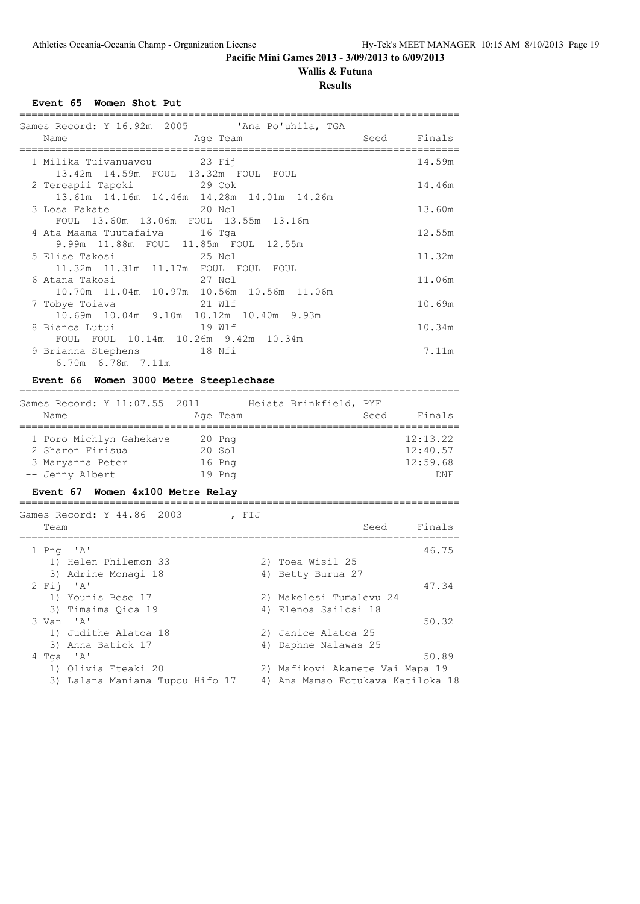# **Wallis & Futuna**

## **Results**

## **Event 65 Women Shot Put**

| Name<br>Age Team                                                                | Seed Finals |        |
|---------------------------------------------------------------------------------|-------------|--------|
|                                                                                 |             |        |
| 1 Milika Tuivanuavou         23 Fij<br>13.42m  14.59m  FOUL  13.32m  FOUL  FOUL |             | 14.59m |
| 2 Tereapii Tapoki 29 Cok<br>13.61m 14.16m 14.46m 14.28m 14.01m 14.26m           |             | 14.46m |
| 20 No.1<br>3 Losa Fakate<br>FOUL 13.60m 13.06m FOUL 13.55m 13.16m               |             | 13.60m |
| 4 Ata Maama Tuutafaiva 16 Tga<br>9.99m 11.88m FOUL 11.85m FOUL 12.55m           |             | 12.55m |
| 11.32m  11.31m  11.17m  FOUL  FOUL  FOUL                                        |             | 11.32m |
| 10.70m  11.04m  10.97m  10.56m  10.56m  11.06m                                  |             | 11.06m |
| 10.69m 10.04m 9.10m 10.12m 10.40m 9.93m                                         |             | 10.69m |
| 8 Bianca Lutui 19 Wlf<br>FOUL FOUL 10.14m 10.26m 9.42m 10.34m                   |             | 10.34m |
| 9 Brianna Stephens 18 Nfi<br>6.70m 6.78m 7.11m                                  |             | 7.11m  |

## **Event 66 Women 3000 Metre Steeplechase**

| Games Record: Y 11:07.55 2011 Heiata Brinkfield, PYF<br>Name                                                                        |                            | Age Team |       |                                                                                       |      | Seed Finals                             |
|-------------------------------------------------------------------------------------------------------------------------------------|----------------------------|----------|-------|---------------------------------------------------------------------------------------|------|-----------------------------------------|
| 1 Poro Michlyn Gahekave<br>2 Sharon Firisua<br>3 Maryanna Peter<br>-- Jenny Albert<br>Event 67 Women 4x100 Metre Relay              | 20 Png<br>20 Sol<br>16 Png | 19 Png   |       |                                                                                       |      | 12:13.22<br>12:40.57<br>12:59.68<br>DNF |
| Games Record: Y 44.86 2003<br>Team                                                                                                  |                            |          | , FIJ |                                                                                       | Seed | Finals                                  |
| $1$ Png $'A'$<br>1) Helen Philemon 33<br>3) Adrine Monagi 18<br>$2$ Fii 'A'<br>1) Younis Bese 17<br>3) Timaima Qica 19<br>3 Van 'A' |                            |          | 4)    | 2) Toea Wisil 25<br>4) Betty Burua 27<br>2) Makelesi Tumalevu 24<br>Elenoa Sailosi 18 |      | 46.75<br>47.34<br>50.32                 |
| 1) Judithe Alatoa 18                                                                                                                |                            |          |       | 2) Janice Alatoa 25                                                                   |      |                                         |

|           | $\frac{1}{2}$ case one necessary | LI VUILLE IILUEVU LU              |
|-----------|----------------------------------|-----------------------------------|
|           | 3) Anna Batick 17                | 4) Daphne Nalawas 25              |
| 4 Tga 'A' |                                  | 50.89                             |
|           | 1) Olivia Eteaki 20              | 2) Mafikovi Akanete Vai Mapa 19   |
|           | 3) Lalana Maniana Tupou Hifo 17  | 4) Ana Mamao Fotukava Katiloka 18 |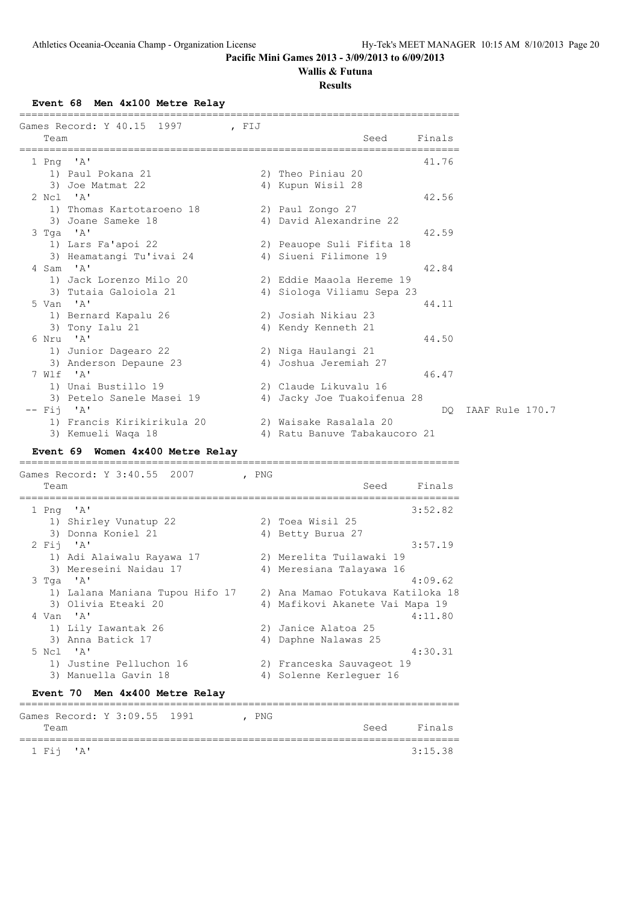# **Wallis & Futuna**

**Results**

**Event 68 Men 4x100 Metre Relay**

| Games Record: Y 40.15 1997<br>, FIJ<br>Team                       |       | Seed<br>Finals                            |
|-------------------------------------------------------------------|-------|-------------------------------------------|
| 1 Png 'A'                                                         |       | 41.76                                     |
| 1) Paul Pokana 21                                                 |       | 2) Theo Piniau 20                         |
| 3) Joe Matmat 22                                                  |       | 4) Kupun Wisil 28                         |
| 2 Ncl 'A'                                                         |       | 42.56                                     |
| 1) Thomas Kartotaroeno 18                                         |       | 2) Paul Zongo 27                          |
| 3) Joane Sameke 18                                                |       | 4) David Alexandrine 22                   |
| 3 Tga 'A'                                                         |       | 42.59                                     |
| 1) Lars Fa'apoi 22                                                |       | 2) Peauope Suli Fifita 18                 |
| 3) Heamatangi Tu'ivai 24                                          |       | 4) Siueni Filimone 19                     |
| 4 Sam 'A'                                                         |       | 42.84                                     |
| 1) Jack Lorenzo Milo 20                                           |       | 2) Eddie Maaola Hereme 19                 |
| 3) Tutaia Galoiola 21                                             |       | 4) Siologa Viliamu Sepa 23                |
| 5 Van 'A'                                                         |       | 44.11                                     |
| 1) Bernard Kapalu 26                                              |       | 2) Josiah Nikiau 23                       |
| 3) Tony Ialu 21                                                   |       | 4) Kendy Kenneth 21                       |
| 6 Nru 'A'                                                         |       | 44.50                                     |
| 1) Junior Dagearo 22                                              |       | 2) Niga Haulangi 21                       |
| 3) Anderson Depaune 23                                            |       | 4) Joshua Jeremiah 27                     |
| 7 Wlf 'A'                                                         |       | 46.47                                     |
| 1) Unai Bustillo 19                                               |       | 2) Claude Likuvalu 16                     |
| 3) Petelo Sanele Masei 19                                         |       | 4) Jacky Joe Tuakoifenua 28               |
| $--$ Fij 'A'                                                      |       | IAAF Rule 170.7<br>DQ.                    |
| 1) Francis Kirikirikula 20                                        |       | 2) Waisake Rasalala 20                    |
| 3) Kemueli Waqa 18                                                |       | 4) Ratu Banuve Tabakaucoro 21             |
| Event 69 Women 4x400 Metre Relay                                  |       |                                           |
| Games Record: Y 3:40.55 2007                                      | , PNG |                                           |
| Team                                                              |       | Finals<br>Seed<br>----------------------- |
| 1 Png 'A'                                                         |       | 3:52.82                                   |
| 1) Shirley Vunatup 22                                             |       | 2) Toea Wisil 25                          |
| 3) Donna Koniel 21                                                |       | 4) Betty Burua 27                         |
| 2 Fij 'A'                                                         |       | 3:57.19                                   |
| 1) Adi Alaiwalu Rayawa 17                                         |       | 2) Merelita Tuilawaki 19                  |
| 3) Mereseini Naidau 17                                            |       | 4) Meresiana Talayawa 16                  |
| 3 Tga 'A'                                                         |       | 4:09.62                                   |
| 1) Lalana Maniana Tupou Hifo 17 2) Ana Mamao Fotukava Katiloka 18 |       |                                           |
| 3) Olivia Eteaki 20                                               |       | 4) Mafikovi Akanete Vai Mapa 19           |
| 4 Van 'A'                                                         |       | 4:11.80                                   |
| 1) Lily Iawantak 26                                               |       | 2) Janice Alatoa 25                       |
| 3) Anna Batick 17                                                 |       | 4) Daphne Nalawas 25                      |
| 5 Ncl 'A'                                                         |       | 4:30.31                                   |
| 1) Justine Pelluchon 16                                           |       | 2) Franceska Sauvageot 19                 |
| 3) Manuella Gavin 18                                              |       | 4) Solenne Kerleguer 16                   |
| Event 70 Men 4x400 Metre Relay                                    |       |                                           |
| Games Record: Y 3:09.55 1991                                      | , PNG |                                           |
| Team                                                              |       | Finals<br>Seed                            |
| 1 Fij<br>'A'                                                      |       | ======================<br>3:15.38         |